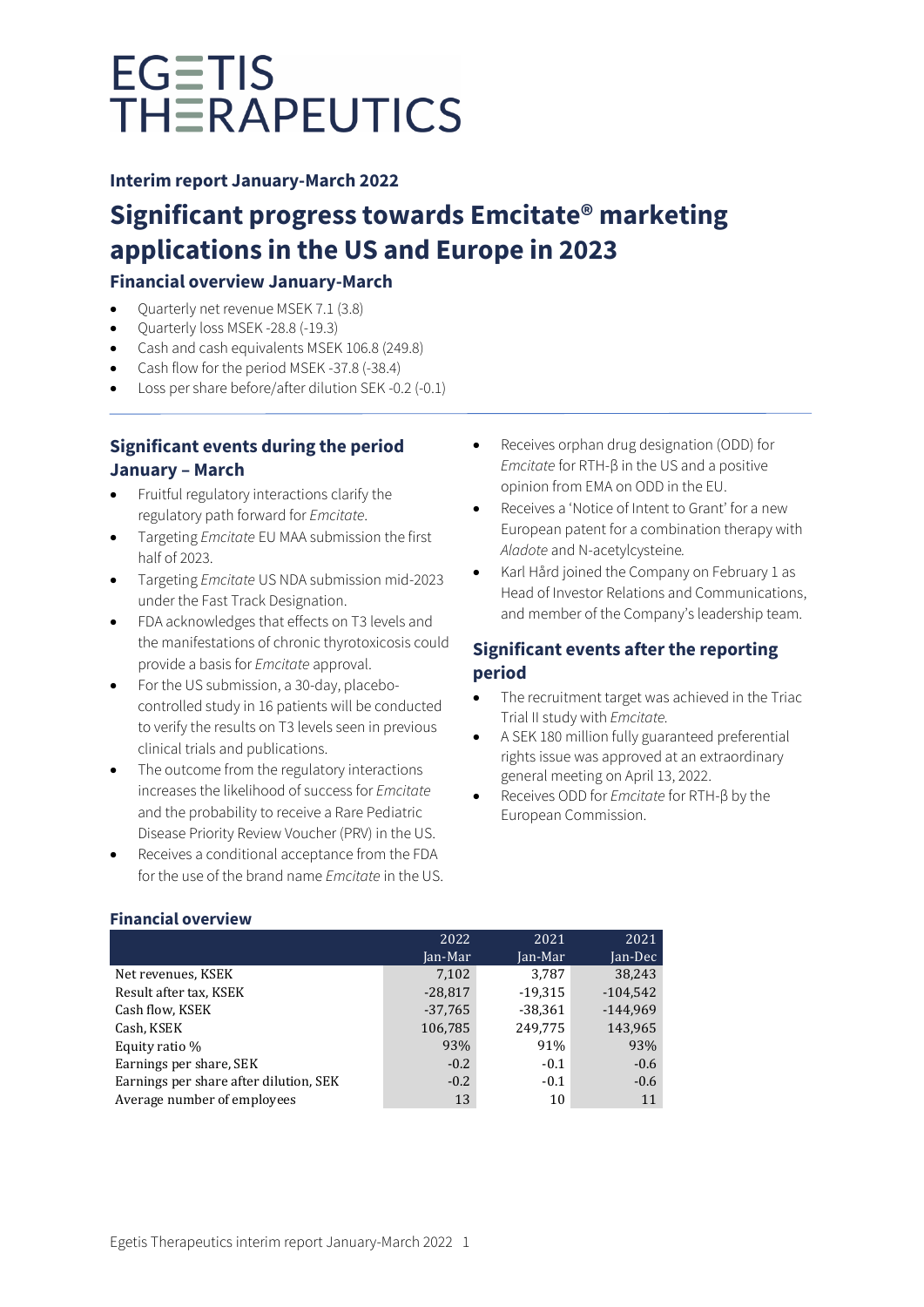## **Interim report January-March 2022**

# **Significant progress towards Emcitate® marketing applications in the US and Europe in 2023**

# **Financial overview January-March**

- Quarterly net revenue MSEK 7.1 (3.8)
- Quarterly loss MSEK -28.8 (-19.3)
- Cash and cash equivalents MSEK 106.8 (249.8)
- Cash flow for the period MSEK -37.8 (-38.4)
- Loss per share before/after dilution SEK -0.2 (-0.1)

# **Significant events during the period January – March**

- Fruitful regulatory interactions clarify the regulatory path forward for *Emcitate*.
- Targeting *Emcitate* EU MAA submission the first half of 2023.
- Targeting *Emcitate* US NDA submission mid-2023 under the Fast Track Designation.
- FDA acknowledges that effects on T3 levels and the manifestations of chronic thyrotoxicosis could provide a basis for *Emcitate* approval.
- For the US submission, a 30-day, placebocontrolled study in 16 patients will be conducted to verify the results on T3 levels seen in previous clinical trials and publications.
- The outcome from the regulatory interactions increases the likelihood of success for *Emcitate* and the probability to receive a Rare Pediatric Disease Priority Review Voucher (PRV) in the US.
- Receives a conditional acceptance from the FDA for the use of the brand name *Emcitate* in the US.
- Receives orphan drug designation (ODD) for *Emcitate* for RTH-β in the US and a positive opinion from EMA on ODD in the EU.
- Receives a 'Notice of Intent to Grant' for a new European patent for a combination therapy with *Aladote* and N-acetylcysteine*.*
- Karl Hård joined the Company on February 1 as Head of Investor Relations and Communications, and member of the Company's leadership team.

# **Significant events after the reporting period**

- The recruitment target was achieved in the Triac Trial II study with *Emcitate.*
- A SEK 180 million fully guaranteed preferential rights issue was approved at an extraordinary general meeting on April 13, 2022.
- Receives ODD for *Emcitate* for RTH-β by the European Commission.

### **Financial overview**

|                                        | 2022      | 2021      | 2021       |
|----------------------------------------|-----------|-----------|------------|
|                                        | Jan-Mar   | Jan-Mar   | Jan-Dec    |
| Net revenues, KSEK                     | 7,102     | 3.787     | 38.243     |
| Result after tax, KSEK                 | $-28,817$ | $-19,315$ | $-104.542$ |
| Cash flow, KSEK                        | $-37,765$ | $-38,361$ | $-144.969$ |
| Cash, KSEK                             | 106,785   | 249,775   | 143,965    |
| Equity ratio %                         | 93%       | 91%       | 93%        |
| Earnings per share, SEK                | $-0.2$    | $-0.1$    | $-0.6$     |
| Earnings per share after dilution, SEK | $-0.2$    | $-0.1$    | $-0.6$     |
| Average number of employees            | 13        | 10        | 11         |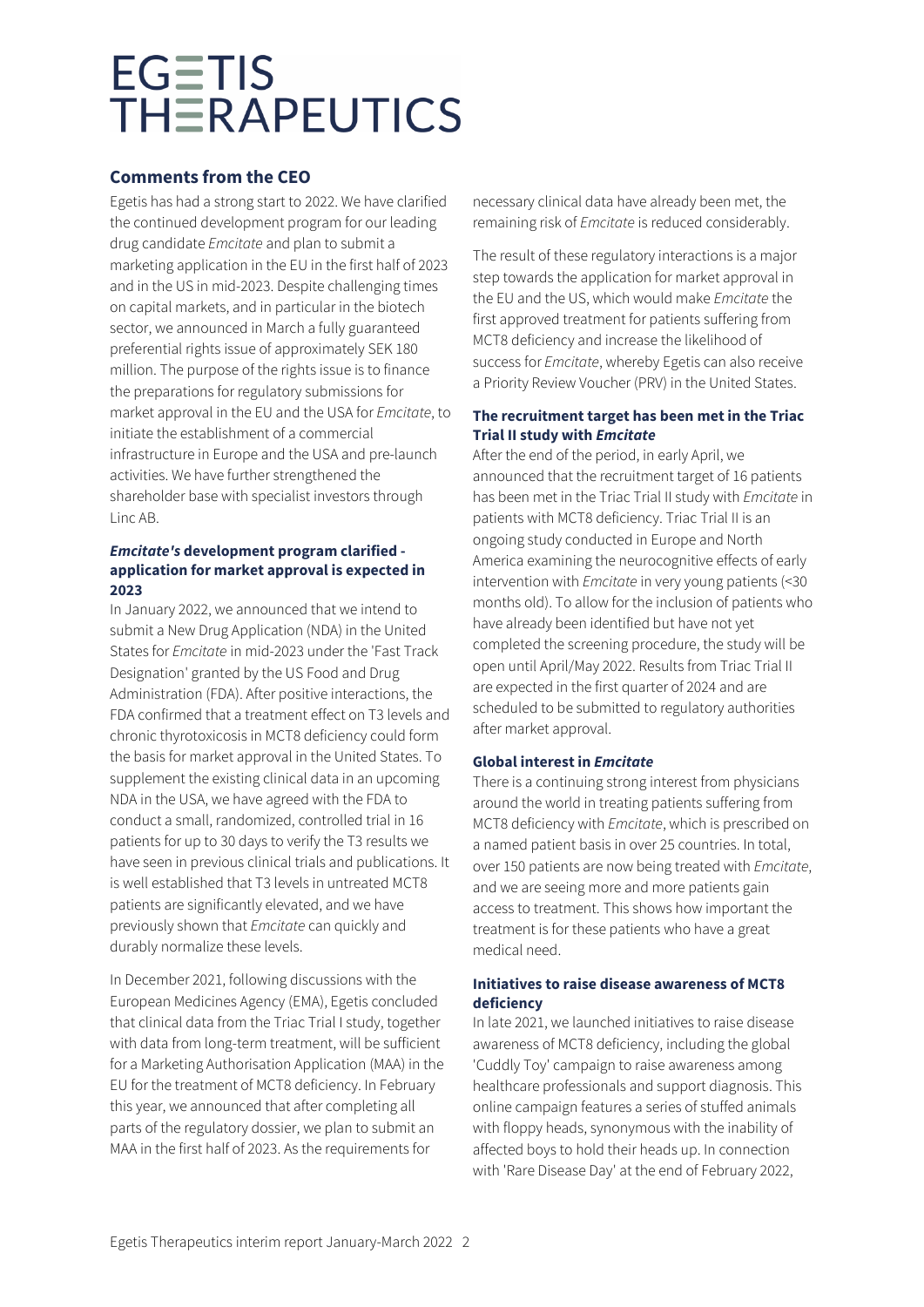# **Comments from the CEO**

Egetis has had a strong start to 2022. We have clarified the continued development program for our leading drug candidate *Emcitate* and plan to submit a marketing application in the EU in the first half of 2023 and in the US in mid-2023. Despite challenging times on capital markets, and in particular in the biotech sector, we announced in March a fully guaranteed preferential rights issue of approximately SEK 180 million. The purpose of the rights issue is to finance the preparations for regulatory submissions for market approval in the EU and the USA for *Emcitate*, to initiate the establishment of a commercial infrastructure in Europe and the USA and pre-launch activities. We have further strengthened the shareholder base with specialist investors through Linc AB.

### *Emcitate's* **development program clarified application for market approval is expected in 2023**

In January 2022, we announced that we intend to submit a New Drug Application (NDA) in the United States for *Emcitate* in mid-2023 under the 'Fast Track Designation' granted by the US Food and Drug Administration (FDA). After positive interactions, the FDA confirmed that a treatment effect on T3 levels and chronic thyrotoxicosis in MCT8 deficiency could form the basis for market approval in the United States. To supplement the existing clinical data in an upcoming NDA in the USA, we have agreed with the FDA to conduct a small, randomized, controlled trial in 16 patients for up to 30 days to verify the T3 results we have seen in previous clinical trials and publications. It is well established that T3 levels in untreated MCT8 patients are significantly elevated, and we have previously shown that *Emcitate* can quickly and durably normalize these levels.

In December 2021, following discussions with the European Medicines Agency (EMA), Egetis concluded that clinical data from the Triac Trial I study, together with data from long-term treatment, will be sufficient for a Marketing Authorisation Application (MAA) in the EU for the treatment of MCT8 deficiency. In February this year, we announced that after completing all parts of the regulatory dossier, we plan to submit an MAA in the first half of 2023. As the requirements for

necessary clinical data have already been met, the remaining risk of *Emcitate* is reduced considerably.

The result of these regulatory interactions is a major step towards the application for market approval in the EU and the US, which would make *Emcitate* the first approved treatment for patients suffering from MCT8 deficiency and increase the likelihood of success for *Emcitate*, whereby Egetis can also receive a Priority Review Voucher (PRV) in the United States.

### **The recruitment target has been met in the Triac Trial II study with** *Emcitate*

After the end of the period, in early April, we announced that the recruitment target of 16 patients has been met in the Triac Trial II study with *Emcitate* in patients with MCT8 deficiency. Triac Trial II is an ongoing study conducted in Europe and North America examining the neurocognitive effects of early intervention with *Emcitate* in very young patients (<30 months old). To allow for the inclusion of patients who have already been identified but have not yet completed the screening procedure, the study will be open until April/May 2022. Results from Triac Trial II are expected in the first quarter of 2024 and are scheduled to be submitted to regulatory authorities after market approval.

### **Global interest in** *Emcitate*

There is a continuing strong interest from physicians around the world in treating patients suffering from MCT8 deficiency with *Emcitate*, which is prescribed on a named patient basis in over 25 countries. In total, over 150 patients are now being treated with *Emcitate*, and we are seeing more and more patients gain access to treatment. This shows how important the treatment is for these patients who have a great medical need.

### **Initiatives to raise disease awareness of MCT8 deficiency**

In late 2021, we launched initiatives to raise disease awareness of MCT8 deficiency, including the global 'Cuddly Toy' campaign to raise awareness among healthcare professionals and support diagnosis. This online campaign features a series of stuffed animals with floppy heads, synonymous with the inability of affected boys to hold their heads up. In connection with 'Rare Disease Day' at the end of February 2022,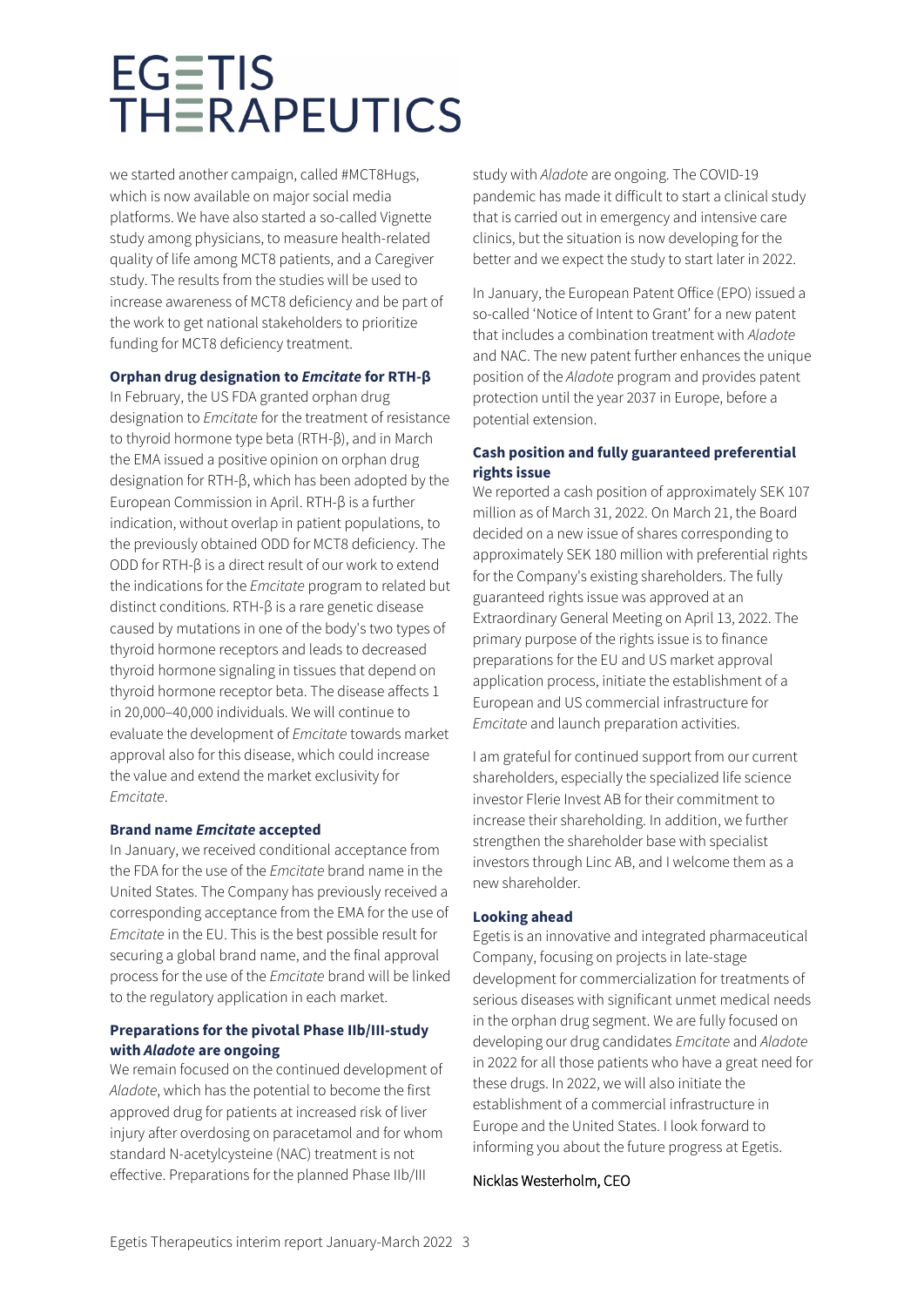we started another campaign, called #MCT8Hugs, which is now available on major social media platforms. We have also started a so-called Vignette study among physicians, to measure health-related quality of life among MCT8 patients, and a Caregiver study. The results from the studies will be used to increase awareness of MCT8 deficiency and be part of the work to get national stakeholders to prioritize funding for MCT8 deficiency treatment.

### **Orphan drug designation to** *Emcitate* **for RTH-β**

In February, the US FDA granted orphan drug designation to *Emcitate* for the treatment of resistance to thyroid hormone type beta (RTH-β), and in March the EMA issued a positive opinion on orphan drug designation for RTH-β, which has been adopted by the European Commission in April. RTH-β is a further indication, without overlap in patient populations, to the previously obtained ODD for MCT8 deficiency. The ODD for RTH-β is a direct result of our work to extend the indications for the *Emcitate* program to related but distinct conditions. RTH-β is a rare genetic disease caused by mutations in one of the body's two types of thyroid hormone receptors and leads to decreased thyroid hormone signaling in tissues that depend on thyroid hormone receptor beta. The disease affects 1 in 20,000–40,000 individuals. We will continue to evaluate the development of *Emcitate* towards market approval also for this disease, which could increase the value and extend the market exclusivity for *Emcitate*.

### **Brand name** *Emcitate* **accepted**

In January, we received conditional acceptance from the FDA for the use of the *Emcitate* brand name in the United States. The Company has previously received a corresponding acceptance from the EMA for the use of *Emcitate* in the EU. This is the best possible result for securing a global brand name, and the final approval process for the use of the *Emcitate* brand will be linked to the regulatory application in each market.

### **Preparations for the pivotal Phase IIb/III-study with** *Aladote* **are ongoing**

We remain focused on the continued development of *Aladote*, which has the potential to become the first approved drug for patients at increased risk of liver injury after overdosing on paracetamol and for whom standard N-acetylcysteine (NAC) treatment is not effective. Preparations for the planned Phase IIb/III

study with *Aladote* are ongoing. The COVID-19 pandemic has made it difficult to start a clinical study that is carried out in emergency and intensive care clinics, but the situation is now developing for the better and we expect the study to start later in 2022.

In January, the European Patent Office (EPO) issued a so-called 'Notice of Intent to Grant' for a new patent that includes a combination treatment with *Aladote* and NAC. The new patent further enhances the unique position of the *Aladote* program and provides patent protection until the year 2037 in Europe, before a potential extension.

### **Cash position and fully guaranteed preferential rights issue**

We reported a cash position of approximately SEK 107 million as of March 31, 2022. On March 21, the Board decided on a new issue of shares corresponding to approximately SEK 180 million with preferential rights for the Company's existing shareholders. The fully guaranteed rights issue was approved at an Extraordinary General Meeting on April 13, 2022. The primary purpose of the rights issue is to finance preparations for the EU and US market approval application process, initiate the establishment of a European and US commercial infrastructure for *Emcitate* and launch preparation activities.

I am grateful for continued support from our current shareholders, especially the specialized life science investor Flerie Invest AB for their commitment to increase their shareholding. In addition, we further strengthen the shareholder base with specialist investors through Linc AB, and I welcome them as a new shareholder.

### **Looking ahead**

Egetis is an innovative and integrated pharmaceutical Company, focusing on projects in late-stage development for commercialization for treatments of serious diseases with significant unmet medical needs in the orphan drug segment. We are fully focused on developing our drug candidates *Emcitate* and *Aladote* in 2022 for all those patients who have a great need for these drugs. In 2022, we will also initiate the establishment of a commercial infrastructure in Europe and the United States. I look forward to informing you about the future progress at Egetis.

### Nicklas Westerholm, CEO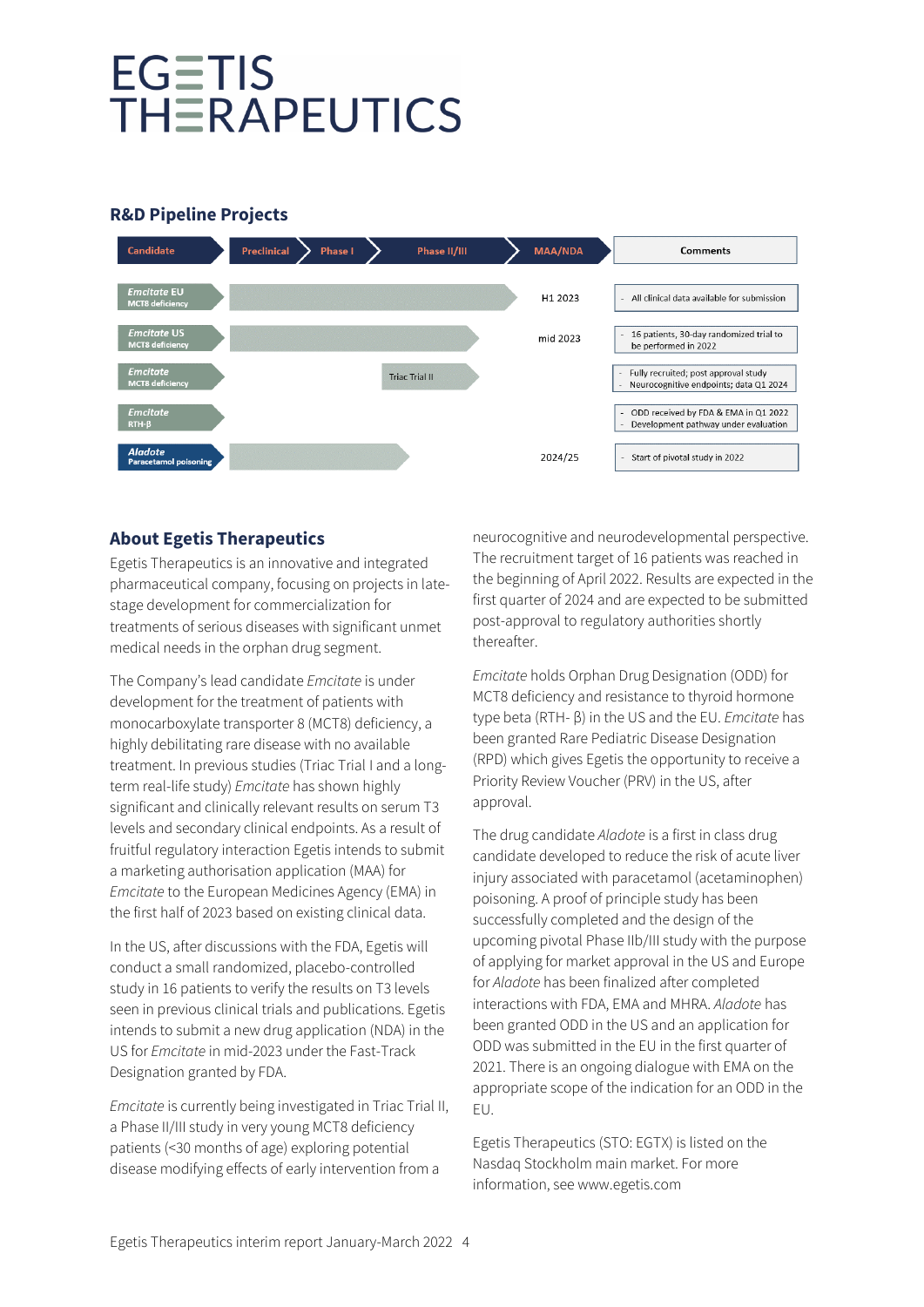## **R&D Pipeline Projects**



# **About Egetis Therapeutics**

Egetis Therapeutics is an innovative and integrated pharmaceutical company, focusing on projects in latestage development for commercialization for treatments of serious diseases with significant unmet medical needs in the orphan drug segment.

The Company's lead candidate *Emcitate* is under development for the treatment of patients with monocarboxylate transporter 8 (MCT8) deficiency, a highly debilitating rare disease with no available treatment. In previous studies (Triac Trial I and a longterm real-life study) *Emcitate* has shown highly significant and clinically relevant results on serum T3 levels and secondary clinical endpoints. As a result of fruitful regulatory interaction Egetis intends to submit a marketing authorisation application (MAA) for *Emcitate* to the European Medicines Agency (EMA) in the first half of 2023 based on existing clinical data.

In the US, after discussions with the FDA, Egetis will conduct a small randomized, placebo-controlled study in 16 patients to verify the results on T3 levels seen in previous clinical trials and publications. Egetis intends to submit a new drug application (NDA) in the US for *Emcitate* in mid-2023 under the Fast-Track Designation granted by FDA.

*Emcitate* is currently being investigated in Triac Trial II, a Phase II/III study in very young MCT8 deficiency patients (<30 months of age) exploring potential disease modifying effects of early intervention from a

neurocognitive and neurodevelopmental perspective. The recruitment target of 16 patients was reached in the beginning of April 2022. Results are expected in the first quarter of 2024 and are expected to be submitted post-approval to regulatory authorities shortly thereafter.

*Emcitate* holds Orphan Drug Designation (ODD) for MCT8 deficiency and resistance to thyroid hormone type beta (RTH- β) in the US and the EU. *Emcitate* has been granted Rare Pediatric Disease Designation (RPD) which gives Egetis the opportunity to receive a Priority Review Voucher (PRV) in the US, after approval.

The drug candidate *Aladote* is a first in class drug candidate developed to reduce the risk of acute liver injury associated with paracetamol (acetaminophen) poisoning. A proof of principle study has been successfully completed and the design of the upcoming pivotal Phase IIb/III study with the purpose of applying for market approval in the US and Europe for *Aladote* has been finalized after completed interactions with FDA, EMA and MHRA. *Aladote* has been granted ODD in the US and an application for ODD was submitted in the EU in the first quarter of 2021. There is an ongoing dialogue with EMA on the appropriate scope of the indication for an ODD in the EU.

Egetis Therapeutics (STO: EGTX) is listed on the Nasdaq Stockholm main market. For more information, see www.egetis.com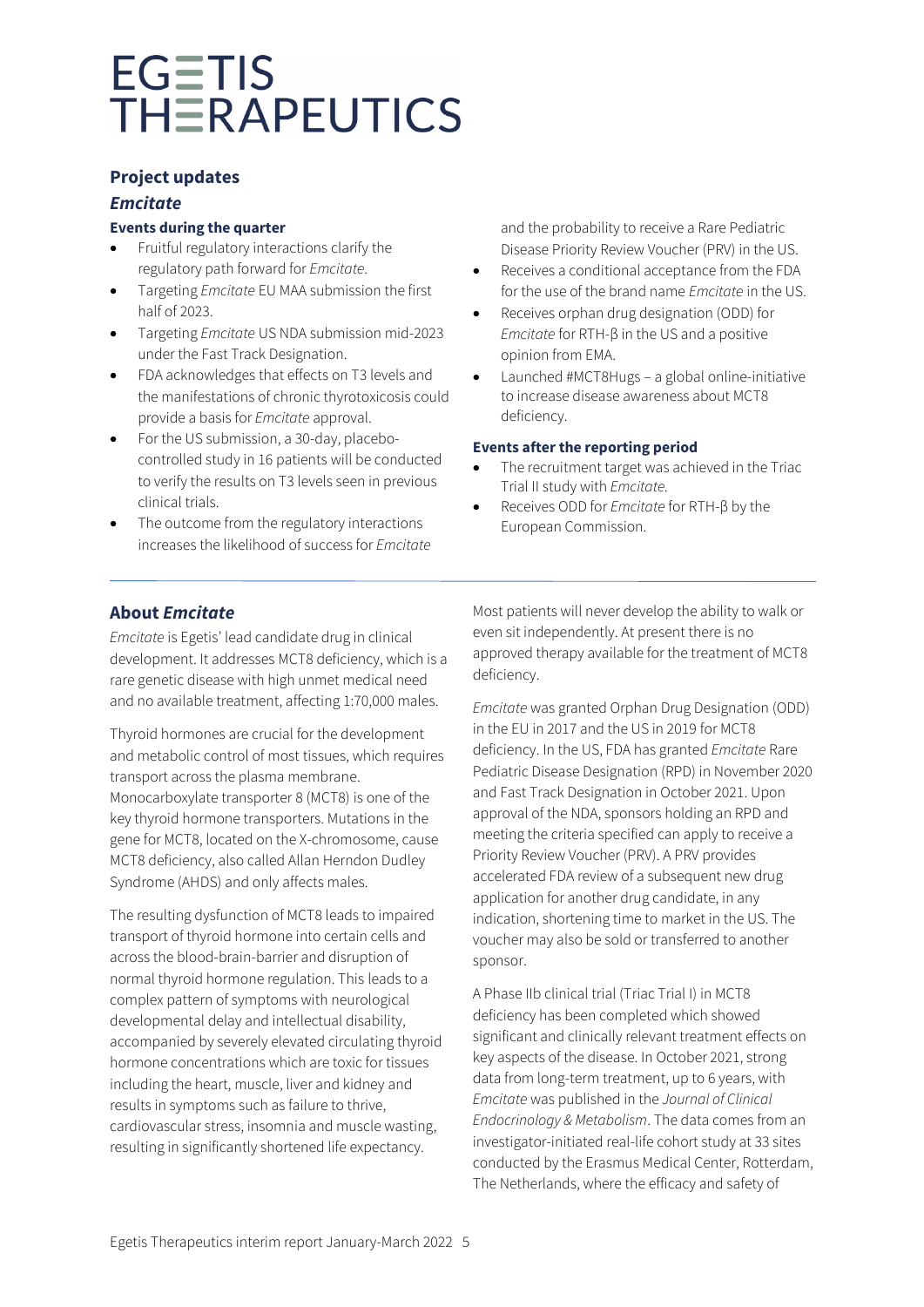## **Project updates**

### *Emcitate*

### **Events during the quarter**

- Fruitful regulatory interactions clarify the regulatory path forward for *Emcitate*.
- Targeting *Emcitate* EU MAA submission the first half of 2023.
- Targeting *Emcitate* US NDA submission mid-2023 under the Fast Track Designation.
- FDA acknowledges that effects on T3 levels and the manifestations of chronic thyrotoxicosis could provide a basis for *Emcitate* approval.
- For the US submission, a 30-day, placebocontrolled study in 16 patients will be conducted to verify the results on T3 levels seen in previous clinical trials.
- The outcome from the regulatory interactions increases the likelihood of success for *Emcitate*

and the probability to receive a Rare Pediatric Disease Priority Review Voucher (PRV) in the US.

- Receives a conditional acceptance from the FDA for the use of the brand name *Emcitate* in the US.
- Receives orphan drug designation (ODD) for *Emcitate* for RTH-β in the US and a positive opinion from EMA.
- Launched #MCT8Hugs a global online-initiative to increase disease awareness about MCT8 deficiency.

### **Events after the reporting period**

- The recruitment target was achieved in the Triac Trial II study with *Emcitate.*
- Receives ODD for *Emcitate* for RTH-β by the European Commission.

# **About** *Emcitate*

*Emcitate* is Egetis' lead candidate drug in clinical development. It addresses MCT8 deficiency, which is a rare genetic disease with high unmet medical need and no available treatment, affecting 1:70,000 males.

Thyroid hormones are crucial for the development and metabolic control of most tissues, which requires transport across the plasma membrane. Monocarboxylate transporter 8 (MCT8) is one of the key thyroid hormone transporters. Mutations in the gene for MCT8, located on the X-chromosome, cause MCT8 deficiency, also called Allan Herndon Dudley Syndrome (AHDS) and only affects males.

The resulting dysfunction of MCT8 leads to impaired transport of thyroid hormone into certain cells and across the blood-brain-barrier and disruption of normal thyroid hormone regulation. This leads to a complex pattern of symptoms with neurological developmental delay and intellectual disability, accompanied by severely elevated circulating thyroid hormone concentrations which are toxic for tissues including the heart, muscle, liver and kidney and results in symptoms such as failure to thrive, cardiovascular stress, insomnia and muscle wasting, resulting in significantly shortened life expectancy.

Most patients will never develop the ability to walk or even sit independently. At present there is no approved therapy available for the treatment of MCT8 deficiency.

*Emcitate* was granted Orphan Drug Designation (ODD) in the EU in 2017 and the US in 2019 for MCT8 deficiency. In the US, FDA has granted *Emcitate* Rare Pediatric Disease Designation (RPD) in November 2020 and Fast Track Designation in October 2021. Upon approval of the NDA, sponsors holding an RPD and meeting the criteria specified can apply to receive a Priority Review Voucher (PRV). A PRV provides accelerated FDA review of a subsequent new drug application for another drug candidate, in any indication, shortening time to market in the US. The voucher may also be sold or transferred to another sponsor.

A Phase IIb clinical trial (Triac Trial I) in MCT8 deficiency has been completed which showed significant and clinically relevant treatment effects on key aspects of the disease. In October 2021, strong data from long-term treatment, up to 6 years, with *Emcitate* was published in the *Journal of Clinical Endocrinology & Metabolism*. The data comes from an investigator-initiated real-life cohort study at 33 sites conducted by the Erasmus Medical Center, Rotterdam, The Netherlands, where the efficacy and safety of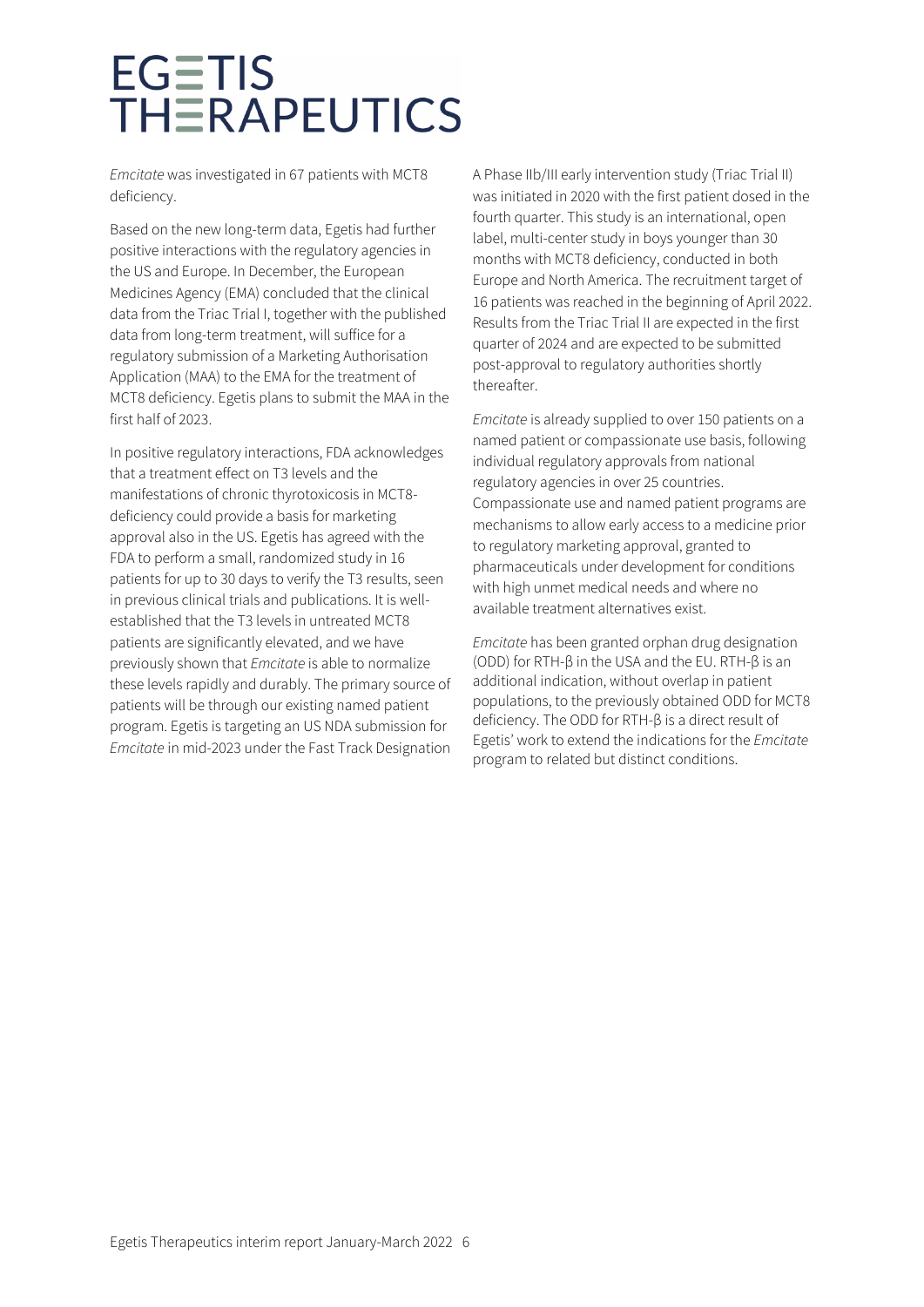*Emcitate* was investigated in 67 patients with MCT8 deficiency.

Based on the new long-term data, Egetis had further positive interactions with the regulatory agencies in the US and Europe. In December, the European Medicines Agency (EMA) concluded that the clinical data from the Triac Trial I, together with the published data from long-term treatment, will suffice for a regulatory submission of a Marketing Authorisation Application (MAA) to the EMA for the treatment of MCT8 deficiency. Egetis plans to submit the MAA in the first half of 2023.

In positive regulatory interactions, FDA acknowledges that a treatment effect on T3 levels and the manifestations of chronic thyrotoxicosis in MCT8 deficiency could provide a basis for marketing approval also in the US. Egetis has agreed with the FDA to perform a small, randomized study in 16 patients for up to 30 days to verify the T3 results, seen in previous clinical trials and publications. It is wellestablished that the T3 levels in untreated MCT8 patients are significantly elevated, and we have previously shown that *Emcitate* is able to normalize these levels rapidly and durably. The primary source of patients will be through our existing named patient program. Egetis is targeting an US NDA submission for *Emcitate* in mid-2023 under the Fast Track Designation A Phase IIb/III early intervention study (Triac Trial II) was initiated in 2020 with the first patient dosed in the fourth quarter. This study is an international, open label, multi-center study in boys younger than 30 months with MCT8 deficiency, conducted in both Europe and North America. The recruitment target of 16 patients was reached in the beginning of April 2022. Results from the Triac Trial II are expected in the first quarter of 2024 and are expected to be submitted post-approval to regulatory authorities shortly thereafter.

*Emcitate* is already supplied to over 150 patients on a named patient or compassionate use basis, following individual regulatory approvals from national regulatory agencies in over 25 countries. Compassionate use and named patient programs are mechanisms to allow early access to a medicine prior to regulatory marketing approval, granted to pharmaceuticals under development for conditions with high unmet medical needs and where no available treatment alternatives exist.

*Emcitate* has been granted orphan drug designation (ODD) for RTH-β in the USA and the EU. RTH-β is an additional indication, without overlap in patient populations, to the previously obtained ODD for MCT8 deficiency. The ODD for RTH-β is a direct result of Egetis' work to extend the indications for the *Emcitate* program to related but distinct conditions.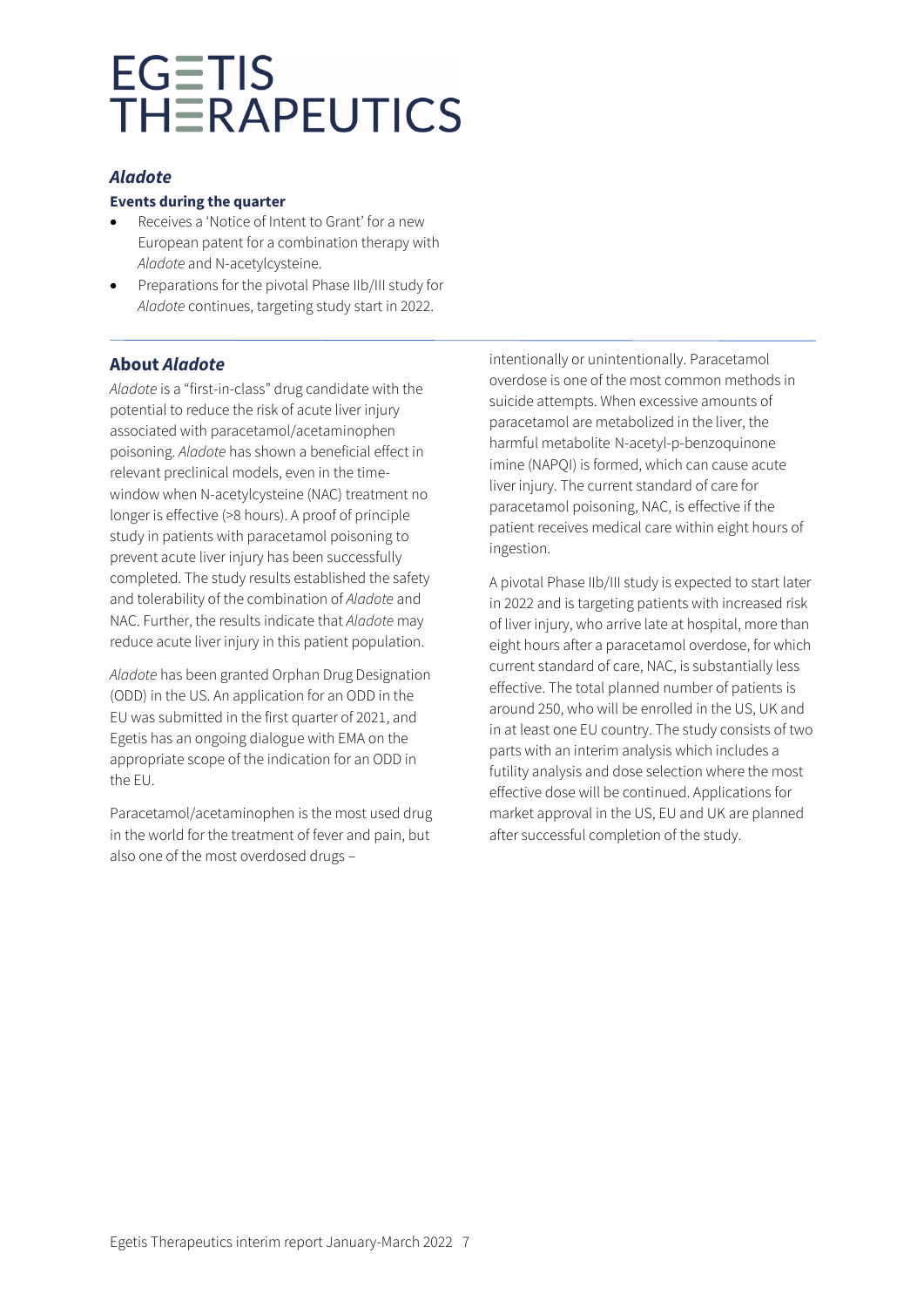## *Aladote*

### **Events during the quarter**

- Receives a 'Notice of Intent to Grant' for a new European patent for a combination therapy with *Aladote* and N-acetylcysteine.
- Preparations for the pivotal Phase IIb/III study for *Aladote* continues, targeting study start in 2022.

# **About** *Aladote*

*Aladote* is a "first-in-class" drug candidate with the potential to reduce the risk of acute liver injury associated with paracetamol/acetaminophen poisoning. *Aladote* has shown a beneficial effect in relevant preclinical models, even in the timewindow when N-acetylcysteine (NAC) treatment no longer is effective (>8 hours). A proof of principle study in patients with paracetamol poisoning to prevent acute liver injury has been successfully completed. The study results established the safety and tolerability of the combination of *Aladote* and NAC. Further, the results indicate that *Aladote* may reduce acute liver injury in this patient population.

*Aladote* has been granted Orphan Drug Designation (ODD) in the US. An application for an ODD in the EU was submitted in the first quarter of 2021, and Egetis has an ongoing dialogue with EMA on the appropriate scope of the indication for an ODD in the EU.

Paracetamol/acetaminophen is the most used drug in the world for the treatment of fever and pain, but also one of the most overdosed drugs –

intentionally or unintentionally. Paracetamol overdose is one of the most common methods in suicide attempts. When excessive amounts of paracetamol are metabolized in the liver, the harmful metabolite N-acetyl-p-benzoquinone imine (NAPQI) is formed, which can cause acute liver injury. The current standard of care for paracetamol poisoning, NAC, is effective if the patient receives medical care within eight hours of ingestion.

A pivotal Phase IIb/III study is expected to start later in 2022 and is targeting patients with increased risk of liver injury, who arrive late at hospital, more than eight hours after a paracetamol overdose, for which current standard of care, NAC, is substantially less effective. The total planned number of patients is around 250, who will be enrolled in the US, UK and in at least one EU country. The study consists of two parts with an interim analysis which includes a futility analysis and dose selection where the most effective dose will be continued. Applications for market approval in the US, EU and UK are planned after successful completion of the study.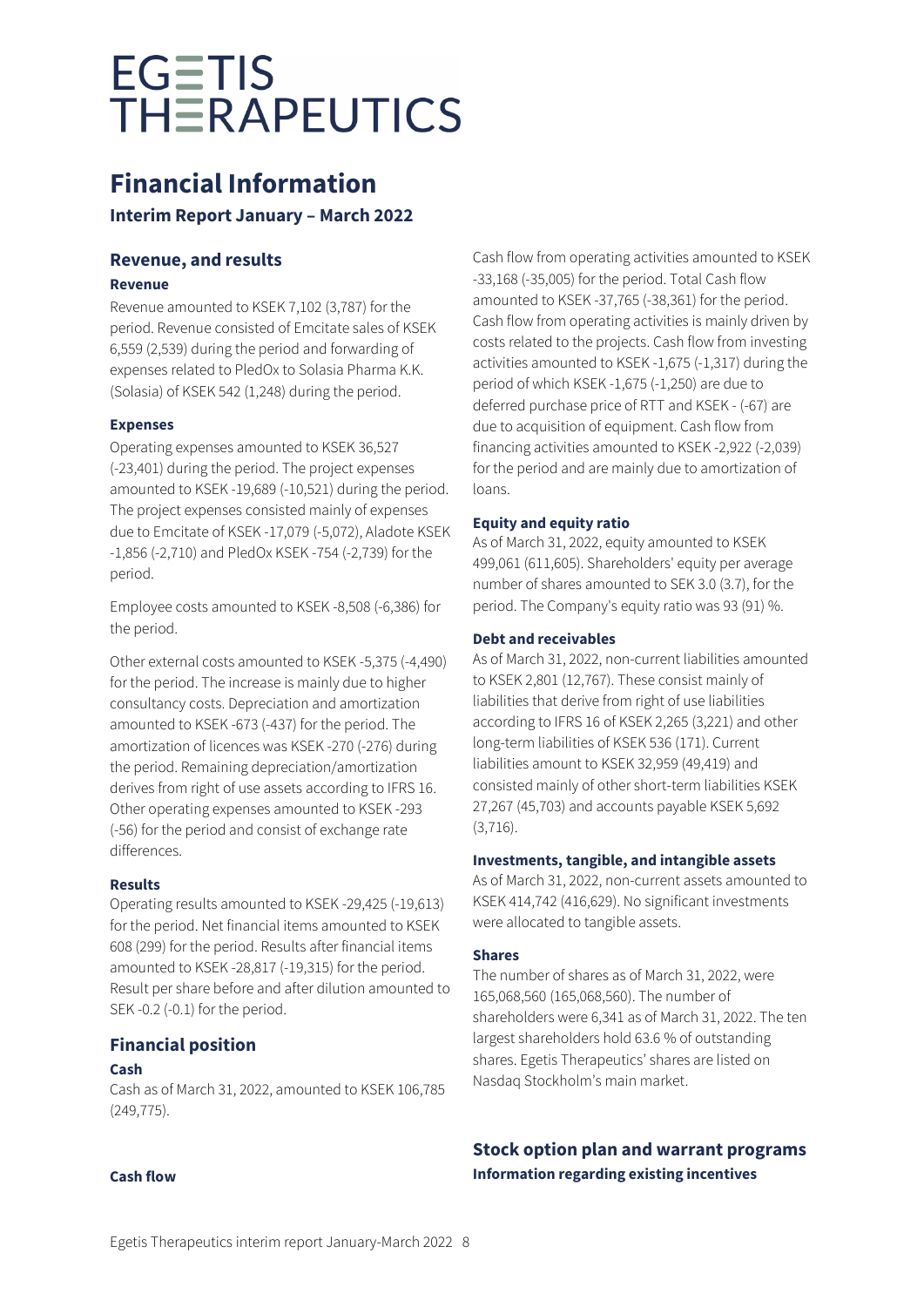# **Financial Information**

**Interim Report January – March 2022**

# **Revenue, and results**

# **Revenue**

Revenue amounted to KSEK 7,102 (3,787) for the period. Revenue consisted of Emcitate sales of KSEK 6,559 (2,539) during the period and forwarding of expenses related to PledOx to Solasia Pharma K.K. (Solasia) of KSEK 542 (1,248) during the period.

# **Expenses**

Operating expenses amounted to KSEK 36,527 (-23,401) during the period. The project expenses amounted to KSEK -19,689 (-10,521) during the period. The project expenses consisted mainly of expenses due to Emcitate of KSEK -17,079 (-5,072), Aladote KSEK -1,856 (-2,710) and PledOx KSEK -754 (-2,739) for the period.

Employee costs amounted to KSEK -8,508 (-6,386) for the period.

Other external costs amounted to KSEK -5,375 (-4,490) for the period. The increase is mainly due to higher consultancy costs. Depreciation and amortization amounted to KSEK -673 (-437) for the period. The amortization of licences was KSEK -270 (-276) during the period. Remaining depreciation/amortization derives from right of use assets according to IFRS 16. Other operating expenses amounted to KSEK -293 (-56) for the period and consist of exchange rate differences.

## **Results**

Operating results amounted to KSEK -29,425 (-19,613) for the period. Net financial items amounted to KSEK 608 (299) for the period. Results after financial items amounted to KSEK -28,817 (-19,315) for the period. Result per share before and after dilution amounted to SEK -0.2 (-0.1) for the period.

# **Financial position**

# **Cash**

Cash as of March 31, 2022, amounted to KSEK 106,785 (249,775).

**Cash flow**

Cash flow from operating activities amounted to KSEK -33,168 (-35,005) for the period. Total Cash flow amounted to KSEK -37,765 (-38,361) for the period. Cash flow from operating activities is mainly driven by costs related to the projects. Cash flow from investing activities amounted to KSEK -1,675 (-1,317) during the period of which KSEK -1,675 (-1,250) are due to deferred purchase price of RTT and KSEK - (-67) are due to acquisition of equipment. Cash flow from financing activities amounted to KSEK -2,922 (-2,039) for the period and are mainly due to amortization of loans.

# **Equity and equity ratio**

As of March 31, 2022, equity amounted to KSEK 499,061 (611,605). Shareholders' equity per average number of shares amounted to SEK 3.0 (3.7), for the period. The Company's equity ratio was 93 (91) %.

# **Debt and receivables**

As of March 31, 2022, non-current liabilities amounted to KSEK 2,801 (12,767). These consist mainly of liabilities that derive from right of use liabilities according to IFRS 16 of KSEK 2,265 (3,221) and other long-term liabilities of KSEK 536 (171). Current liabilities amount to KSEK 32,959 (49,419) and consisted mainly of other short-term liabilities KSEK 27,267 (45,703) and accounts payable KSEK 5,692 (3,716).

## **Investments, tangible, and intangible assets**

As of March 31, 2022, non-current assets amounted to KSEK 414,742 (416,629). No significant investments were allocated to tangible assets.

# **Shares**

The number of shares as of March 31, 2022, were 165,068,560 (165,068,560). The number of shareholders were 6,341 as of March 31, 2022. The ten largest shareholders hold 63.6 % of outstanding shares. Egetis Therapeutics' shares are listed on Nasdaq Stockholm's main market.

# **Stock option plan and warrant programs Information regarding existing incentives**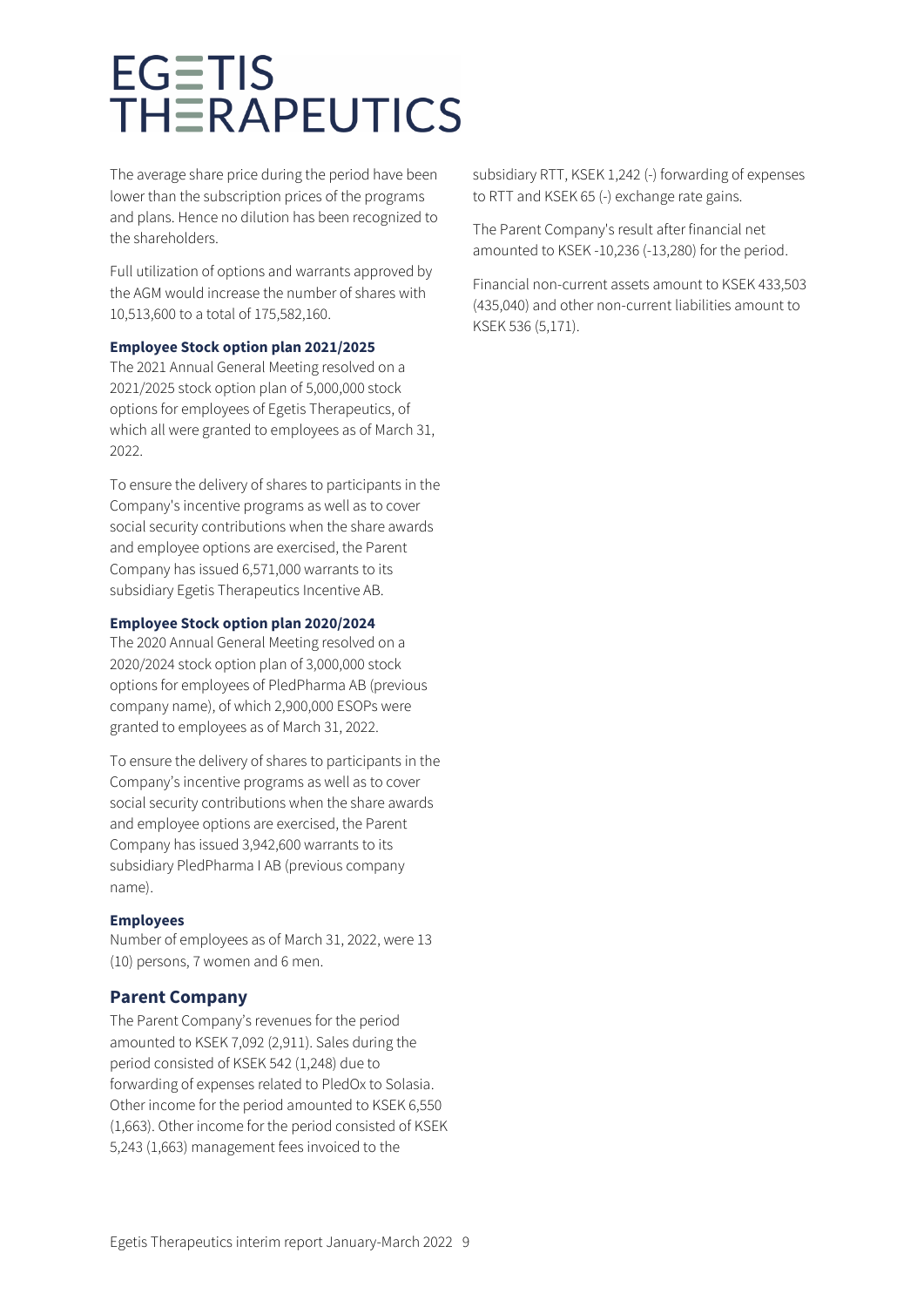The average share price during the period have been lower than the subscription prices of the programs and plans. Hence no dilution has been recognized to the shareholders.

Full utilization of options and warrants approved by the AGM would increase the number of shares with 10,513,600 to a total of 175,582,160.

#### **Employee Stock option plan 2021/2025**

The 2021 Annual General Meeting resolved on a 2021/2025 stock option plan of 5,000,000 stock options for employees of Egetis Therapeutics, of which all were granted to employees as of March 31, 2022.

To ensure the delivery of shares to participants in the Company's incentive programs as well as to cover social security contributions when the share awards and employee options are exercised, the Parent Company has issued 6,571,000 warrants to its subsidiary Egetis Therapeutics Incentive AB.

#### **Employee Stock option plan 2020/2024**

The 2020 Annual General Meeting resolved on a 2020/2024 stock option plan of 3,000,000 stock options for employees of PledPharma AB (previous company name), of which 2,900,000 ESOPs were granted to employees as of March 31, 2022.

To ensure the delivery of shares to participants in the Company's incentive programs as well as to cover social security contributions when the share awards and employee options are exercised, the Parent Company has issued 3,942,600 warrants to its subsidiary PledPharma I AB (previous company name).

### **Employees**

Number of employees as of March 31, 2022, were 13 (10) persons, 7 women and 6 men.

### **Parent Company**

The Parent Company's revenues for the period amounted to KSEK 7,092 (2,911). Sales during the period consisted of KSEK 542 (1,248) due to forwarding of expenses related to PledOx to Solasia. Other income for the period amounted to KSEK 6,550 (1,663). Other income for the period consisted of KSEK 5,243 (1,663) management fees invoiced to the

subsidiary RTT, KSEK 1,242 (-) forwarding of expenses to RTT and KSEK 65 (-) exchange rate gains.

The Parent Company's result after financial net amounted to KSEK -10,236 (-13,280) for the period.

Financial non-current assets amount to KSEK 433,503 (435,040) and other non-current liabilities amount to KSEK 536 (5,171).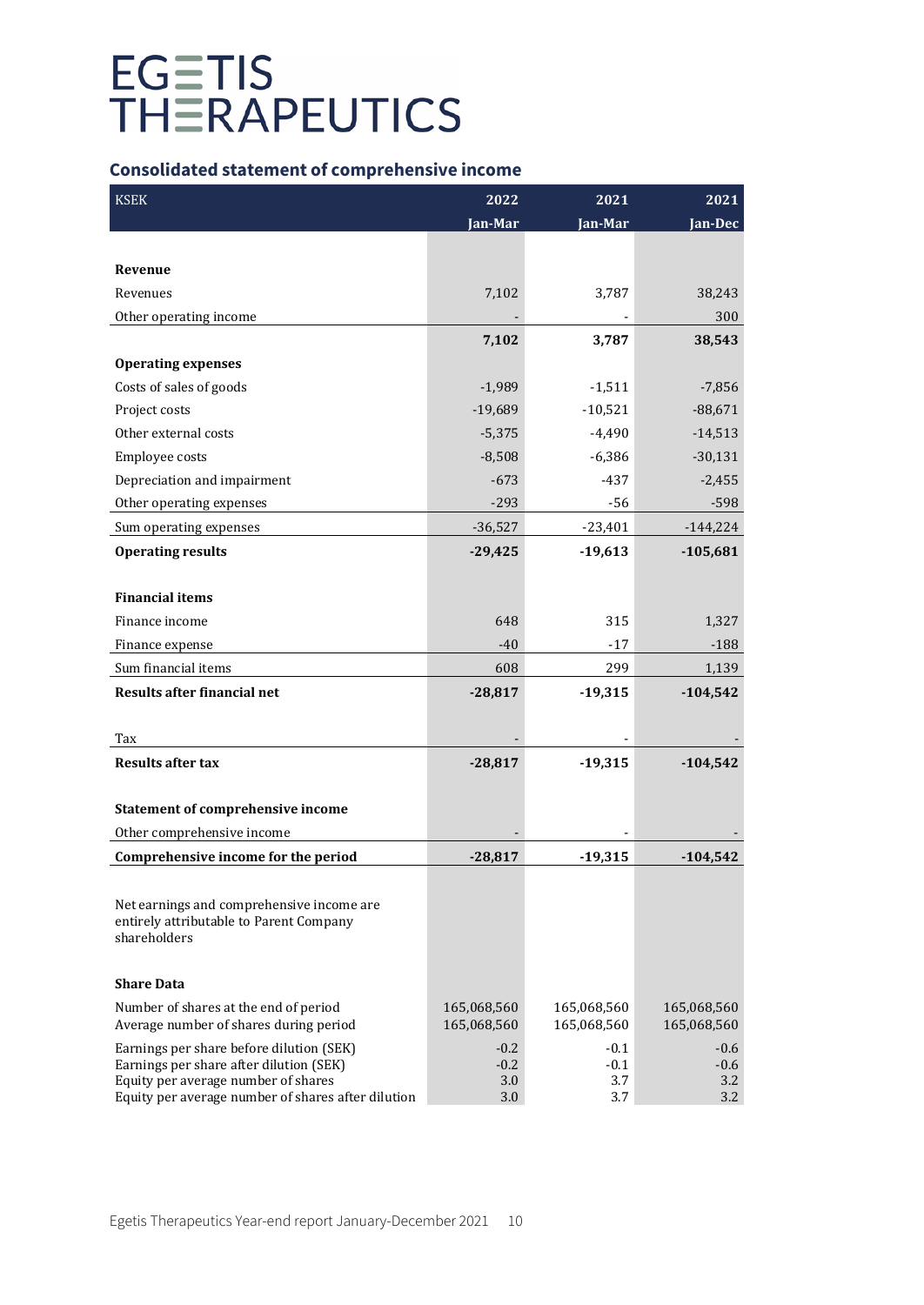# **Consolidated statement of comprehensive income**

| <b>KSEK</b>                                                                               | 2022        | 2021        | 2021        |
|-------------------------------------------------------------------------------------------|-------------|-------------|-------------|
|                                                                                           | Jan-Mar     | Jan-Mar     | Jan-Dec     |
|                                                                                           |             |             |             |
| Revenue                                                                                   |             |             |             |
| Revenues                                                                                  | 7,102       | 3,787       | 38,243      |
| Other operating income                                                                    |             |             | 300         |
|                                                                                           | 7,102       | 3,787       | 38,543      |
| <b>Operating expenses</b>                                                                 |             |             |             |
| Costs of sales of goods                                                                   | $-1,989$    | $-1,511$    | $-7,856$    |
| Project costs                                                                             | $-19,689$   | $-10,521$   | $-88,671$   |
| Other external costs                                                                      | $-5,375$    | $-4,490$    | $-14,513$   |
| Employee costs                                                                            | $-8,508$    | $-6,386$    | $-30,131$   |
| Depreciation and impairment                                                               | $-673$      | $-437$      | $-2,455$    |
| Other operating expenses                                                                  | $-293$      | $-56$       | $-598$      |
| Sum operating expenses                                                                    | $-36,527$   | $-23,401$   | $-144,224$  |
| <b>Operating results</b>                                                                  | $-29,425$   | $-19,613$   | $-105,681$  |
|                                                                                           |             |             |             |
| <b>Financial items</b>                                                                    |             |             |             |
| Finance income                                                                            | 648         | 315         | 1,327       |
| Finance expense                                                                           | $-40$       | $-17$       | $-188$      |
| Sum financial items                                                                       | 608         | 299         | 1,139       |
| <b>Results after financial net</b>                                                        | $-28,817$   | $-19,315$   | $-104,542$  |
|                                                                                           |             |             |             |
| Tax                                                                                       |             |             |             |
| <b>Results after tax</b>                                                                  | $-28,817$   | $-19,315$   | $-104,542$  |
|                                                                                           |             |             |             |
| <b>Statement of comprehensive income</b>                                                  |             |             |             |
| Other comprehensive income                                                                |             |             |             |
| Comprehensive income for the period                                                       | $-28,817$   | $-19,315$   | $-104,542$  |
|                                                                                           |             |             |             |
| Net earnings and comprehensive income are                                                 |             |             |             |
| entirely attributable to Parent Company                                                   |             |             |             |
| shareholders                                                                              |             |             |             |
| <b>Share Data</b>                                                                         |             |             |             |
| Number of shares at the end of period                                                     | 165,068,560 | 165,068,560 | 165,068,560 |
| Average number of shares during period                                                    | 165,068,560 | 165,068,560 | 165,068,560 |
| Earnings per share before dilution (SEK)                                                  | $-0.2$      | $-0.1$      | $-0.6$      |
| Earnings per share after dilution (SEK)                                                   | $-0.2$      | $-0.1$      | $-0.6$      |
| Equity per average number of shares<br>Equity per average number of shares after dilution | 3.0<br>3.0  | 3.7<br>3.7  | 3.2<br>3.2  |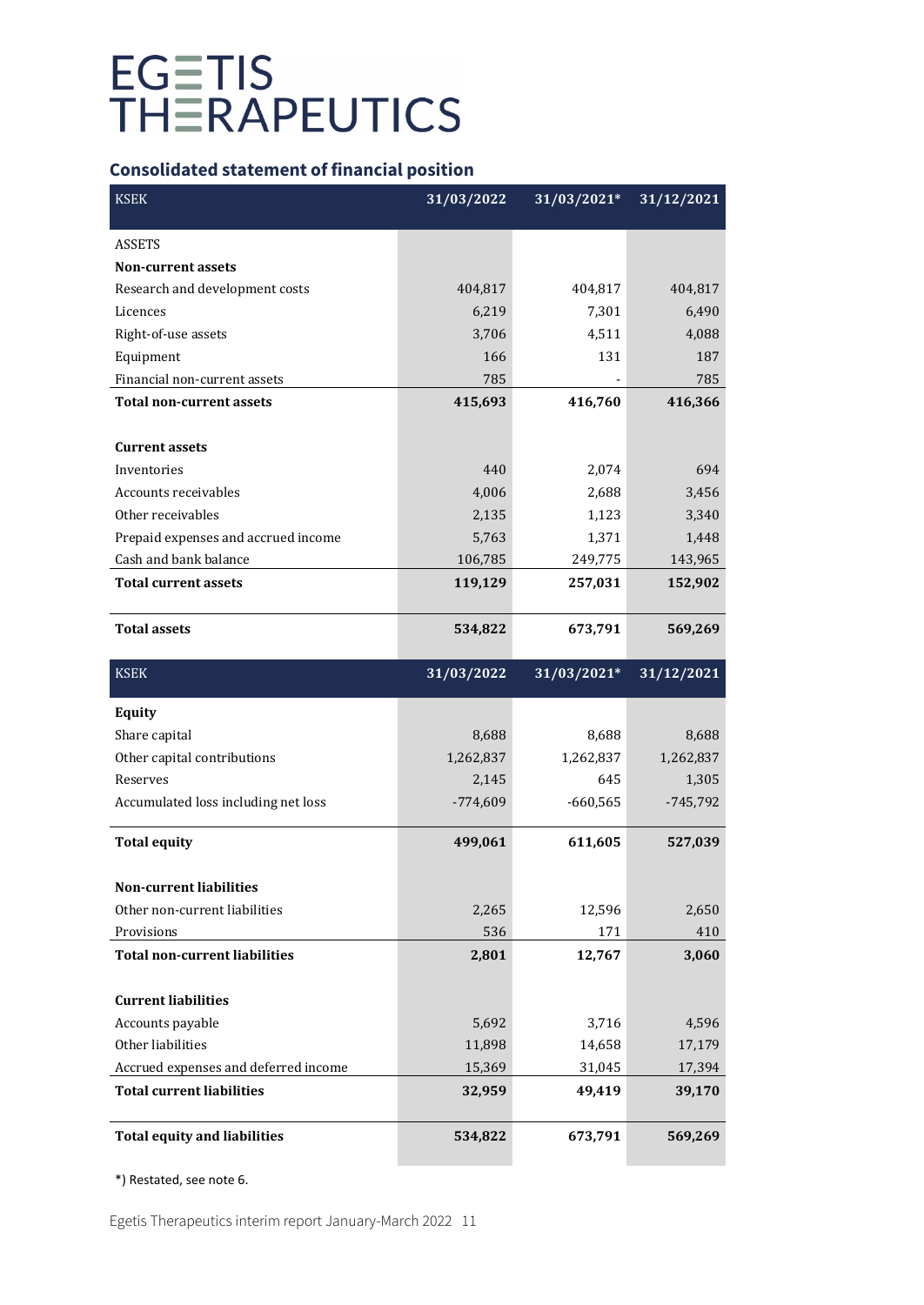# **Consolidated statement of financial position**

| <b>KSEK</b>                          | 31/03/2022 | $31/03/2021*$ | 31/12/2021 |
|--------------------------------------|------------|---------------|------------|
| <b>ASSETS</b>                        |            |               |            |
| <b>Non-current assets</b>            |            |               |            |
| Research and development costs       | 404,817    | 404,817       | 404,817    |
| Licences                             | 6,219      | 7,301         | 6,490      |
| Right-of-use assets                  | 3,706      | 4,511         | 4,088      |
| Equipment                            | 166        | 131           | 187        |
| Financial non-current assets         | 785        |               | 785        |
| <b>Total non-current assets</b>      | 415,693    | 416,760       | 416,366    |
|                                      |            |               |            |
| <b>Current assets</b>                |            |               |            |
| Inventories                          | 440        | 2,074         | 694        |
| Accounts receivables                 | 4,006      | 2,688         | 3,456      |
| Other receivables                    | 2,135      | 1,123         | 3,340      |
| Prepaid expenses and accrued income  | 5,763      | 1,371         | 1,448      |
| Cash and bank balance                | 106,785    | 249,775       | 143,965    |
| <b>Total current assets</b>          | 119,129    | 257,031       | 152,902    |
| <b>Total assets</b>                  | 534,822    | 673,791       | 569,269    |
| <b>KSEK</b>                          | 31/03/2022 | 31/03/2021*   | 31/12/2021 |
| <b>Equity</b>                        |            |               |            |
| Share capital                        | 8,688      | 8,688         | 8,688      |
| Other capital contributions          | 1,262,837  | 1,262,837     | 1,262,837  |
| Reserves                             | 2,145      | 645           | 1,305      |
| Accumulated loss including net loss  | $-774,609$ | $-660,565$    | $-745,792$ |
| <b>Total equity</b>                  | 499,061    | 611,605       | 527,039    |
| <b>Non-current liabilities</b>       |            |               |            |
| Other non-current liabilities        | 2,265      | 12,596        | 2,650      |
| Provisions                           | 536        | 171           | 410        |
| <b>Total non-current liabilities</b> | 2,801      | 12,767        | 3,060      |
| <b>Current liabilities</b>           |            |               |            |
| Accounts payable                     | 5,692      | 3,716         | 4,596      |
| Other liabilities                    | 11,898     | 14,658        | 17,179     |
| Accrued expenses and deferred income | 15,369     | 31,045        | 17,394     |
| <b>Total current liabilities</b>     | 32,959     | 49,419        | 39,170     |
| <b>Total equity and liabilities</b>  | 534,822    | 673,791       | 569,269    |

\*) Restated, see note 6.

Egetis Therapeutics interim report January-March 2022 11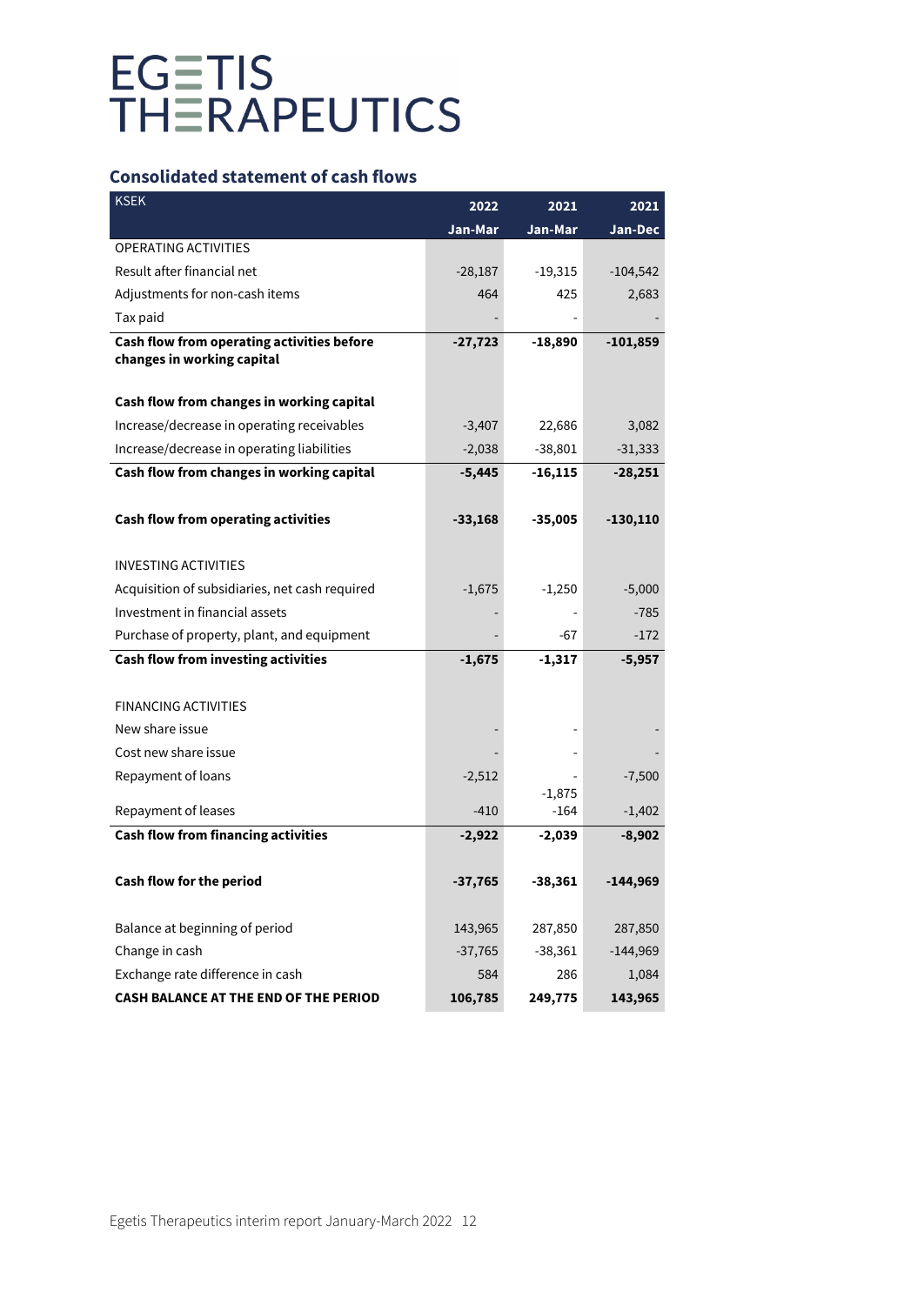## **Consolidated statement of cash flows**

| <b>KSEK</b>                                                              | 2022      | 2021               | 2021       |
|--------------------------------------------------------------------------|-----------|--------------------|------------|
|                                                                          | Jan-Mar   | Jan-Mar            | Jan-Dec    |
| <b>OPERATING ACTIVITIES</b>                                              |           |                    |            |
| Result after financial net                                               | $-28,187$ | $-19,315$          | $-104,542$ |
| Adjustments for non-cash items                                           | 464       | 425                | 2,683      |
| Tax paid                                                                 |           |                    |            |
| Cash flow from operating activities before<br>changes in working capital | $-27,723$ | $-18,890$          | $-101,859$ |
| Cash flow from changes in working capital                                |           |                    |            |
| Increase/decrease in operating receivables                               | $-3,407$  | 22,686             | 3,082      |
| Increase/decrease in operating liabilities                               | $-2,038$  | $-38,801$          | $-31,333$  |
| Cash flow from changes in working capital                                | $-5,445$  | $-16, 115$         | $-28,251$  |
|                                                                          |           |                    |            |
| Cash flow from operating activities                                      | $-33,168$ | $-35,005$          | $-130,110$ |
|                                                                          |           |                    |            |
| <b>INVESTING ACTIVITIES</b>                                              |           |                    |            |
| Acquisition of subsidiaries, net cash required                           | $-1,675$  | $-1,250$           | $-5,000$   |
| Investment in financial assets                                           |           |                    | $-785$     |
| Purchase of property, plant, and equipment                               |           | -67                | $-172$     |
| Cash flow from investing activities                                      | $-1,675$  | $-1,317$           | $-5,957$   |
|                                                                          |           |                    |            |
| <b>FINANCING ACTIVITIES</b>                                              |           |                    |            |
| New share issue                                                          |           |                    |            |
| Cost new share issue                                                     |           |                    |            |
| Repayment of loans                                                       | $-2,512$  |                    | $-7,500$   |
| Repayment of leases                                                      | $-410$    | $-1,875$<br>$-164$ | $-1,402$   |
| <b>Cash flow from financing activities</b>                               | $-2,922$  |                    | $-8,902$   |
|                                                                          |           | $-2,039$           |            |
| Cash flow for the period                                                 | $-37,765$ | $-38,361$          | $-144,969$ |
|                                                                          |           |                    |            |
| Balance at beginning of period                                           | 143,965   | 287,850            | 287,850    |
| Change in cash                                                           | $-37,765$ | $-38,361$          | $-144,969$ |
| Exchange rate difference in cash                                         | 584       | 286                | 1,084      |
| CASH BALANCE AT THE END OF THE PERIOD                                    | 106,785   | 249,775            | 143,965    |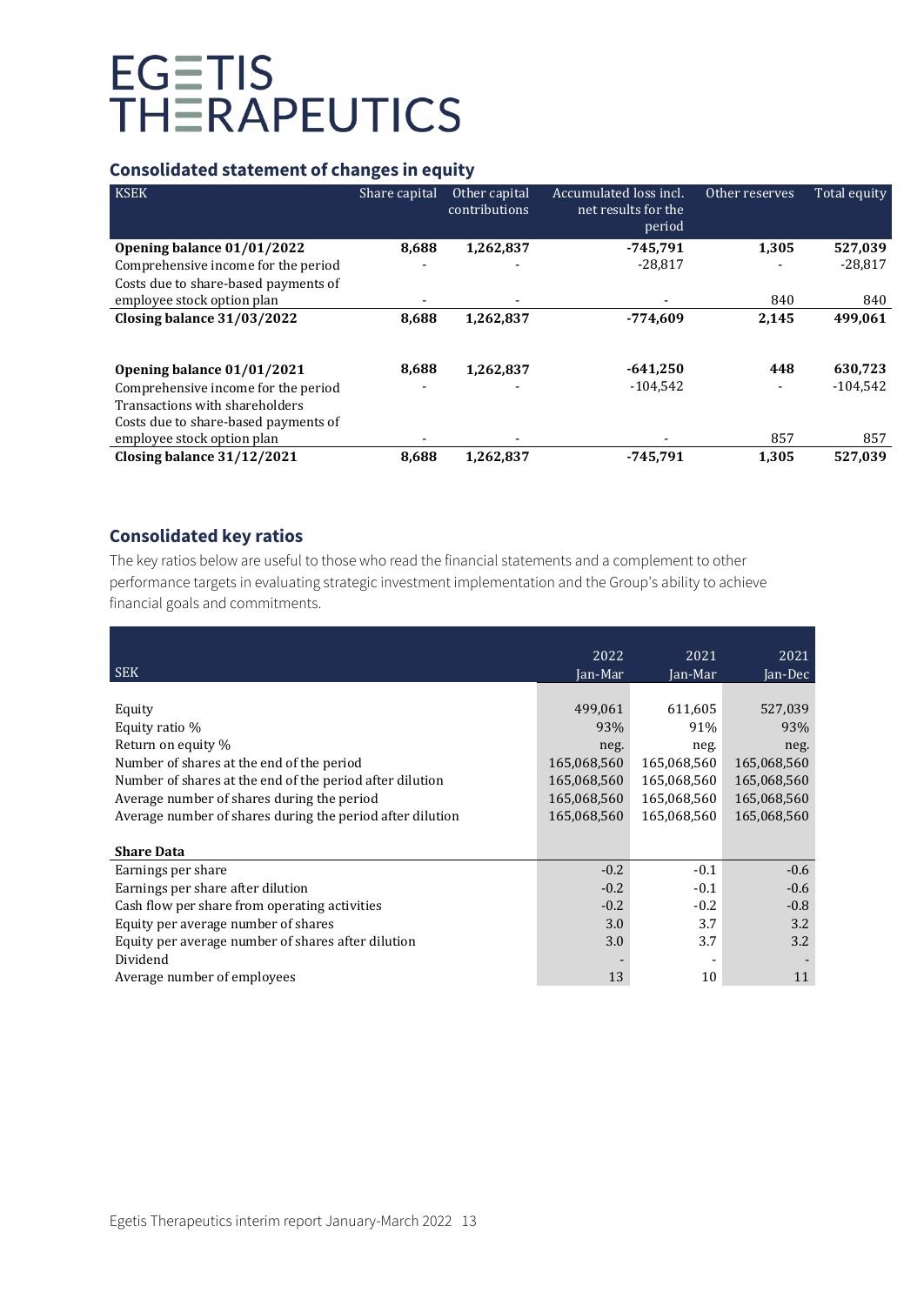# **Consolidated statement of changes in equity**

| <b>KSEK</b>                          | Share capital | Other capital<br>contributions | Accumulated loss incl.<br>net results for the<br>period | Other reserves | Total equity |
|--------------------------------------|---------------|--------------------------------|---------------------------------------------------------|----------------|--------------|
| Opening balance 01/01/2022           | 8,688         | 1,262,837                      | $-745.791$                                              | 1,305          | 527,039      |
| Comprehensive income for the period  |               |                                | $-28,817$                                               |                | $-28,817$    |
| Costs due to share-based payments of |               |                                |                                                         |                |              |
| employee stock option plan           |               |                                |                                                         | 840            | 840          |
| Closing balance $31/03/2022$         | 8,688         | 1,262,837                      | $-774.609$                                              | 2,145          | 499,061      |
|                                      |               |                                |                                                         |                |              |
| Opening balance 01/01/2021           | 8,688         | 1,262,837                      | $-641,250$                                              | 448            | 630,723      |
| Comprehensive income for the period  |               |                                | $-104,542$                                              |                | $-104,542$   |
| Transactions with shareholders       |               |                                |                                                         |                |              |
| Costs due to share-based payments of |               |                                |                                                         |                |              |
| employee stock option plan           |               |                                |                                                         | 857            | 857          |
| Closing balance $31/12/2021$         | 8.688         | 1,262,837                      | $-745.791$                                              | 1,305          | 527,039      |

## **Consolidated key ratios**

The key ratios below are useful to those who read the financial statements and a complement to other performance targets in evaluating strategic investment implementation and the Group's ability to achieve financial goals and commitments.

| <b>SEK</b>                                                                                                                                                                                                                                                         | 2022<br>Jan-Mar                                                                    | 2021<br>Jan-Mar                                                                    | 2021<br>Jan-Dec                                                                    |
|--------------------------------------------------------------------------------------------------------------------------------------------------------------------------------------------------------------------------------------------------------------------|------------------------------------------------------------------------------------|------------------------------------------------------------------------------------|------------------------------------------------------------------------------------|
| Equity<br>Equity ratio %<br>Return on equity %<br>Number of shares at the end of the period<br>Number of shares at the end of the period after dilution<br>Average number of shares during the period<br>Average number of shares during the period after dilution | 499,061<br>93%<br>neg.<br>165,068,560<br>165,068,560<br>165,068,560<br>165,068,560 | 611,605<br>91%<br>neg.<br>165,068,560<br>165,068,560<br>165,068,560<br>165,068,560 | 527,039<br>93%<br>neg.<br>165,068,560<br>165,068,560<br>165,068,560<br>165,068,560 |
| <b>Share Data</b>                                                                                                                                                                                                                                                  |                                                                                    |                                                                                    |                                                                                    |
| Earnings per share<br>Earnings per share after dilution<br>Cash flow per share from operating activities<br>Equity per average number of shares<br>Equity per average number of shares after dilution<br>Dividend                                                  | $-0.2$<br>$-0.2$<br>$-0.2$<br>3.0<br>3.0                                           | $-0.1$<br>$-0.1$<br>$-0.2$<br>3.7<br>3.7                                           | $-0.6$<br>$-0.6$<br>$-0.8$<br>3.2<br>3.2                                           |
| Average number of employees                                                                                                                                                                                                                                        | 13                                                                                 | 10                                                                                 | 11                                                                                 |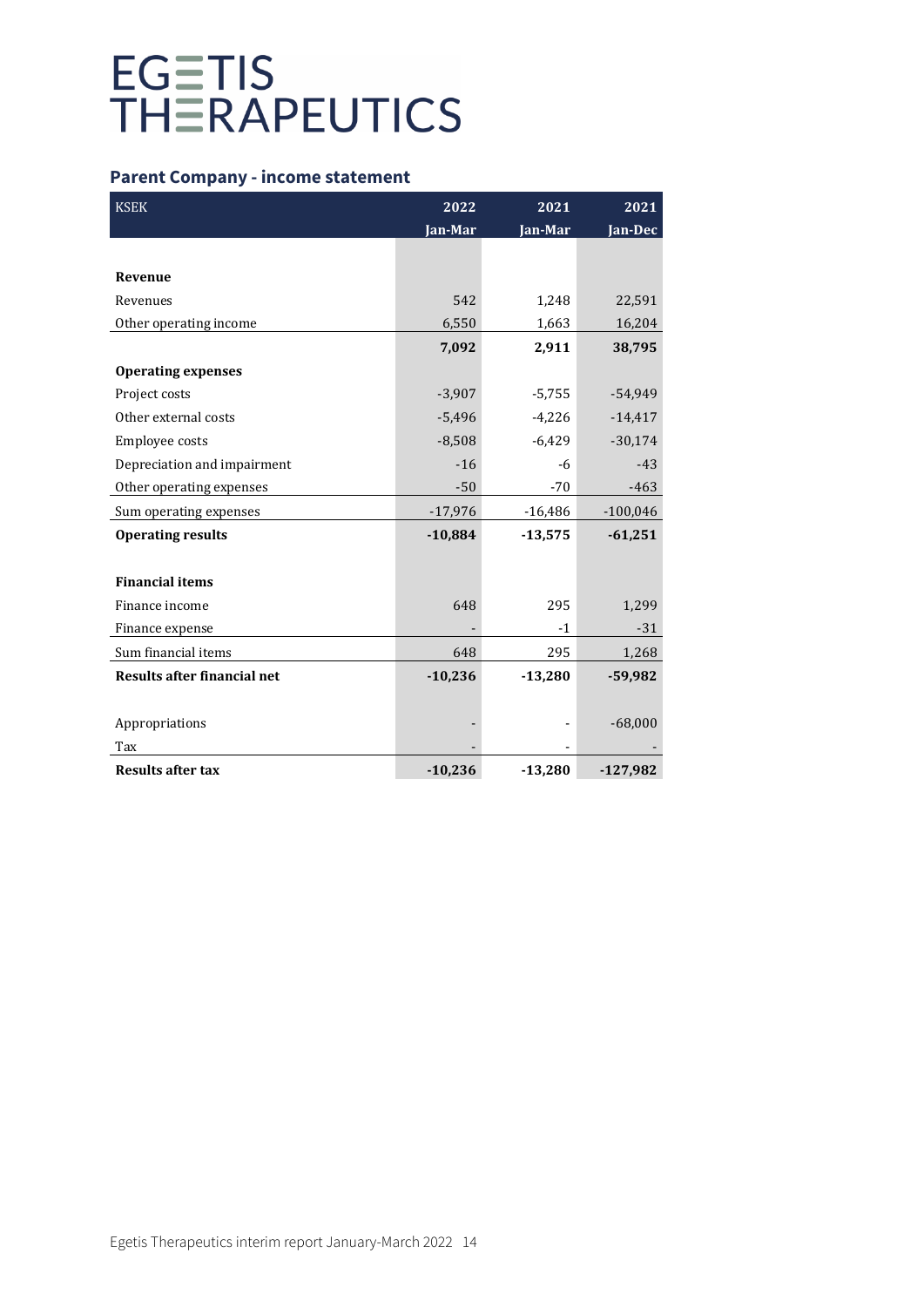## **Parent Company - income statement**

| <b>KSEK</b>                        | 2022      | 2021      | 2021       |
|------------------------------------|-----------|-----------|------------|
|                                    | Jan-Mar   | Jan-Mar   | Jan-Dec    |
|                                    |           |           |            |
| Revenue                            |           |           |            |
| Revenues                           | 542       | 1,248     | 22,591     |
| Other operating income             | 6,550     | 1,663     | 16,204     |
|                                    | 7,092     | 2,911     | 38,795     |
| <b>Operating expenses</b>          |           |           |            |
| Project costs                      | $-3,907$  | $-5,755$  | $-54,949$  |
| Other external costs               | $-5,496$  | $-4,226$  | $-14,417$  |
| Employee costs                     | $-8,508$  | $-6,429$  | $-30,174$  |
| Depreciation and impairment        | $-16$     | $-6$      | $-43$      |
| Other operating expenses           | $-50$     | $-70$     | $-463$     |
| Sum operating expenses             | $-17,976$ | $-16,486$ | $-100,046$ |
| <b>Operating results</b>           | $-10,884$ | $-13,575$ | $-61,251$  |
|                                    |           |           |            |
| <b>Financial items</b>             |           |           |            |
| Finance income                     | 648       | 295       | 1,299      |
| Finance expense                    |           | $-1$      | $-31$      |
| Sum financial items                | 648       | 295       | 1,268      |
| <b>Results after financial net</b> | $-10,236$ | $-13,280$ | $-59,982$  |
|                                    |           |           |            |
| Appropriations                     |           |           | $-68,000$  |
| Tax                                |           |           |            |
| <b>Results after tax</b>           | $-10,236$ | $-13,280$ | -127,982   |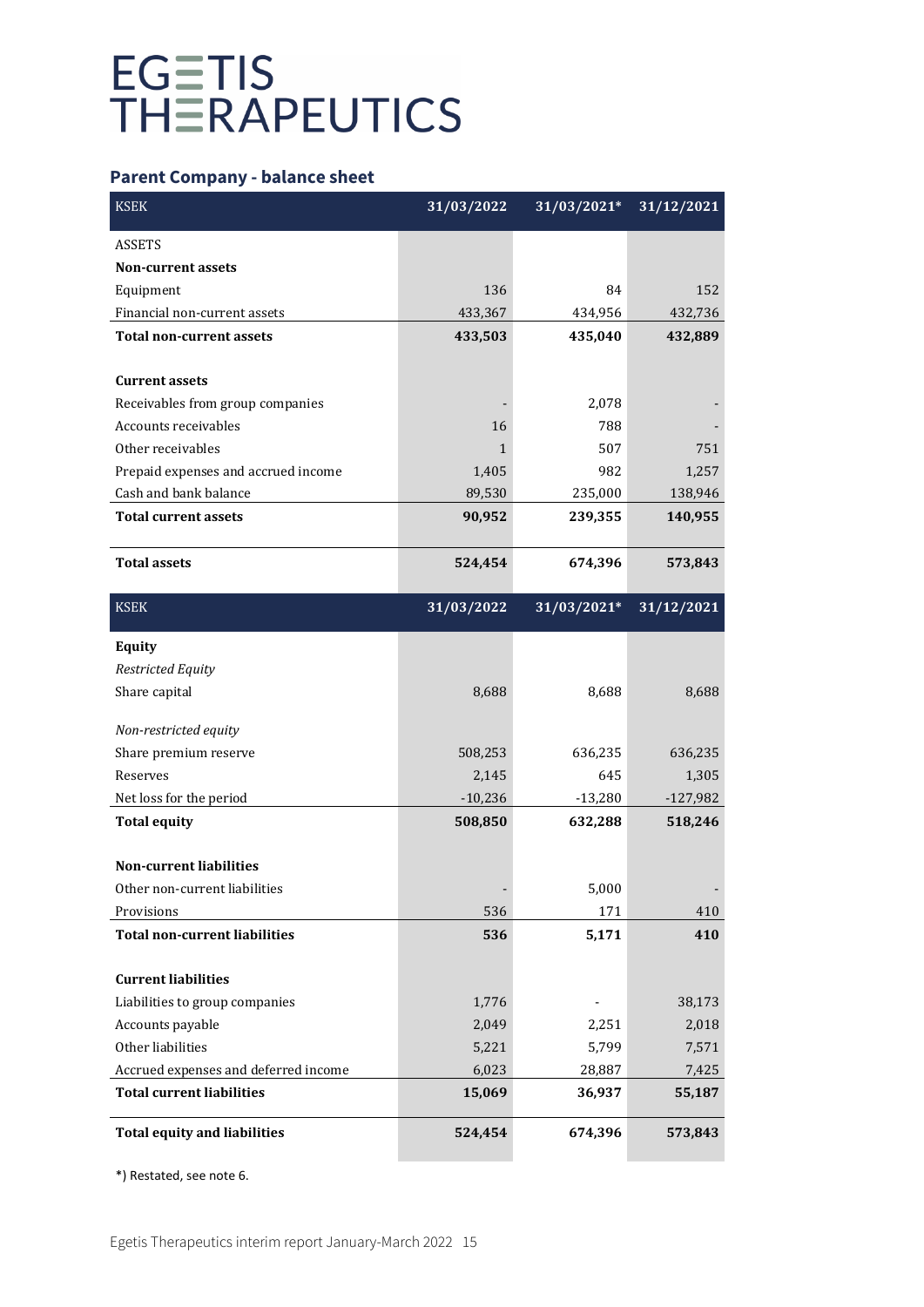# **Parent Company - balance sheet**

| <b>ASSETS</b>                        |            |             |            |
|--------------------------------------|------------|-------------|------------|
| <b>Non-current assets</b>            |            |             |            |
| Equipment                            | 136        | 84          | 152        |
| Financial non-current assets         | 433,367    | 434,956     | 432,736    |
| <b>Total non-current assets</b>      | 433,503    | 435,040     | 432,889    |
|                                      |            |             |            |
| <b>Current assets</b>                |            |             |            |
| Receivables from group companies     |            | 2,078       |            |
| Accounts receivables                 | 16         | 788         |            |
| Other receivables                    | 1          | 507         | 751        |
| Prepaid expenses and accrued income  | 1,405      | 982         | 1,257      |
| Cash and bank balance                | 89,530     | 235,000     | 138,946    |
| <b>Total current assets</b>          | 90,952     | 239,355     | 140,955    |
|                                      |            |             |            |
| <b>Total assets</b>                  | 524,454    | 674,396     | 573,843    |
| <b>KSEK</b>                          | 31/03/2022 | 31/03/2021* | 31/12/2021 |
| <b>Equity</b>                        |            |             |            |
| <b>Restricted Equity</b>             |            |             |            |
| Share capital                        | 8,688      | 8,688       | 8,688      |
| Non-restricted equity                |            |             |            |
| Share premium reserve                | 508,253    | 636,235     | 636,235    |
| Reserves                             | 2,145      | 645         | 1,305      |
| Net loss for the period              | $-10,236$  | $-13,280$   | $-127,982$ |
| <b>Total equity</b>                  | 508,850    | 632,288     | 518,246    |
|                                      |            |             |            |
| <b>Non-current liabilities</b>       |            |             |            |
| Other non-current liabilities        |            | 5,000       |            |
| Provisions                           | 536        | 171         | 410        |
| <b>Total non-current liabilities</b> | 536        | 5,171       | 410        |
|                                      |            |             |            |
| <b>Current liabilities</b>           |            |             |            |
| Liabilities to group companies       | 1,776      |             | 38,173     |
| Accounts payable                     | 2,049      | 2,251       | 2,018      |
| Other liabilities                    | 5,221      | 5,799       | 7,571      |
| Accrued expenses and deferred income | 6,023      | 28,887      | 7,425      |
| <b>Total current liabilities</b>     | 15,069     | 36,937      | 55,187     |
| <b>Total equity and liabilities</b>  | 524,454    | 674,396     | 573,843    |

\*) Restated, see note 6.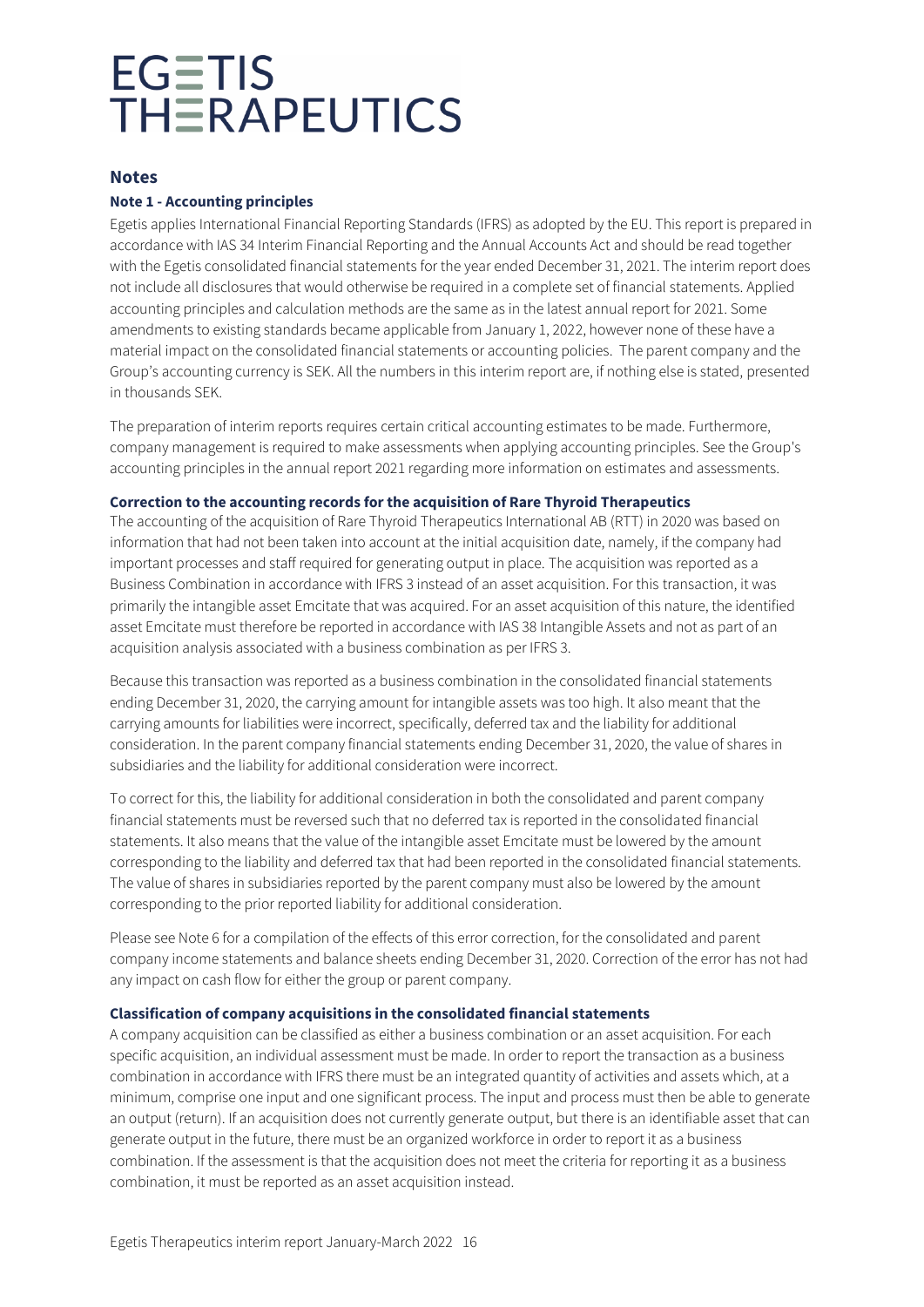### **Notes**

### **Note 1 - Accounting principles**

Egetis applies International Financial Reporting Standards (IFRS) as adopted by the EU. This report is prepared in accordance with IAS 34 Interim Financial Reporting and the Annual Accounts Act and should be read together with the Egetis consolidated financial statements for the year ended December 31, 2021. The interim report does not include all disclosures that would otherwise be required in a complete set of financial statements. Applied accounting principles and calculation methods are the same as in the latest annual report for 2021. Some amendments to existing standards became applicable from January 1, 2022, however none of these have a material impact on the consolidated financial statements or accounting policies. The parent company and the Group's accounting currency is SEK. All the numbers in this interim report are, if nothing else is stated, presented in thousands SEK.

The preparation of interim reports requires certain critical accounting estimates to be made. Furthermore, company management is required to make assessments when applying accounting principles. See the Group's accounting principles in the annual report 2021 regarding more information on estimates and assessments.

#### **Correction to the accounting records for the acquisition of Rare Thyroid Therapeutics**

The accounting of the acquisition of Rare Thyroid Therapeutics International AB (RTT) in 2020 was based on information that had not been taken into account at the initial acquisition date, namely, if the company had important processes and staff required for generating output in place. The acquisition was reported as a Business Combination in accordance with IFRS 3 instead of an asset acquisition. For this transaction, it was primarily the intangible asset Emcitate that was acquired. For an asset acquisition of this nature, the identified asset Emcitate must therefore be reported in accordance with IAS 38 Intangible Assets and not as part of an acquisition analysis associated with a business combination as per IFRS 3.

Because this transaction was reported as a business combination in the consolidated financial statements ending December 31, 2020, the carrying amount for intangible assets was too high. It also meant that the carrying amounts for liabilities were incorrect, specifically, deferred tax and the liability for additional consideration. In the parent company financial statements ending December 31, 2020, the value of shares in subsidiaries and the liability for additional consideration were incorrect.

To correct for this, the liability for additional consideration in both the consolidated and parent company financial statements must be reversed such that no deferred tax is reported in the consolidated financial statements. It also means that the value of the intangible asset Emcitate must be lowered by the amount corresponding to the liability and deferred tax that had been reported in the consolidated financial statements. The value of shares in subsidiaries reported by the parent company must also be lowered by the amount corresponding to the prior reported liability for additional consideration.

Please see Note 6 for a compilation of the effects of this error correction, for the consolidated and parent company income statements and balance sheets ending December 31, 2020. Correction of the error has not had any impact on cash flow for either the group or parent company.

### **Classification of company acquisitions in the consolidated financial statements**

A company acquisition can be classified as either a business combination or an asset acquisition. For each specific acquisition, an individual assessment must be made. In order to report the transaction as a business combination in accordance with IFRS there must be an integrated quantity of activities and assets which, at a minimum, comprise one input and one significant process. The input and process must then be able to generate an output (return). If an acquisition does not currently generate output, but there is an identifiable asset that can generate output in the future, there must be an organized workforce in order to report it as a business combination. If the assessment is that the acquisition does not meet the criteria for reporting it as a business combination, it must be reported as an asset acquisition instead.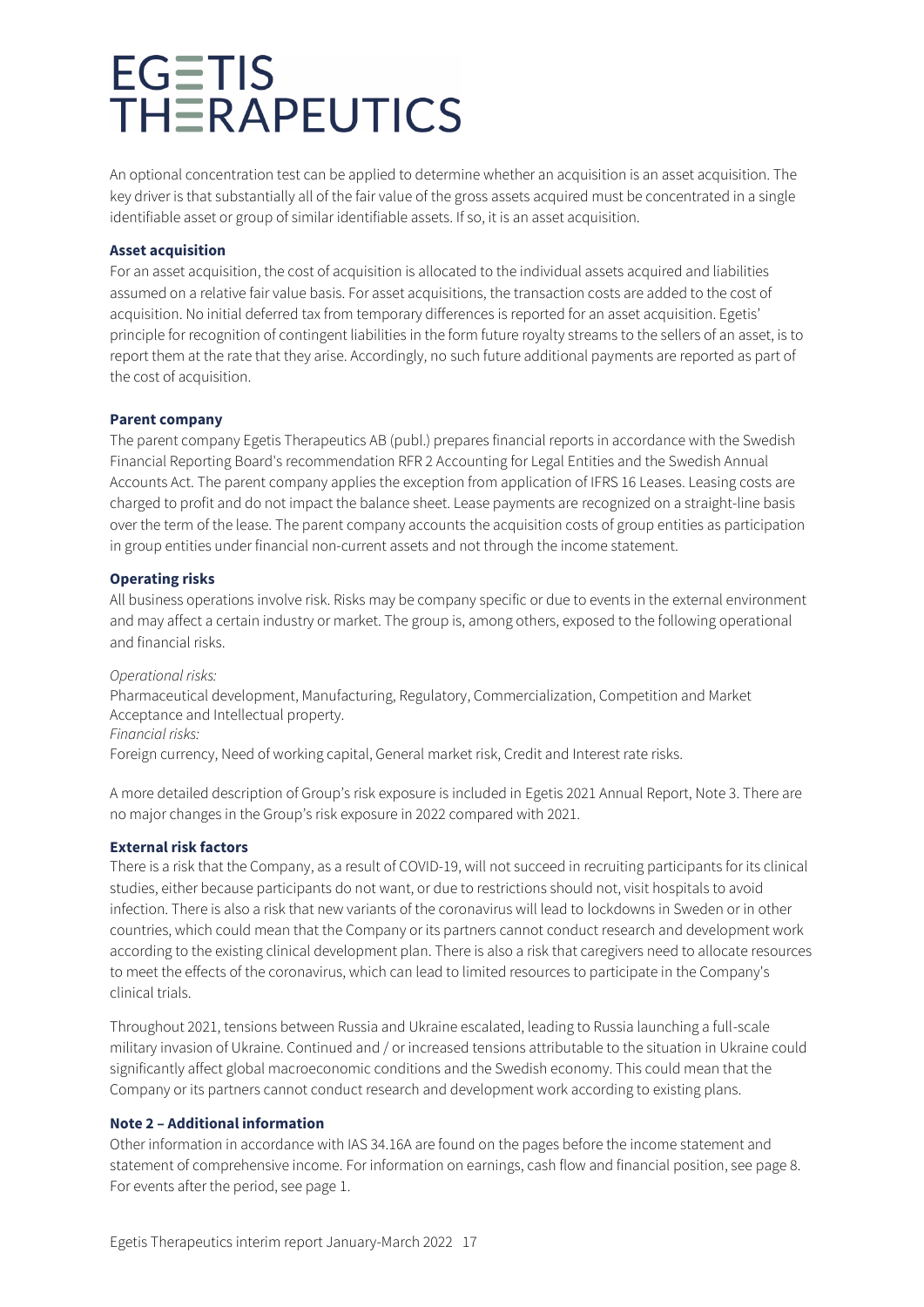An optional concentration test can be applied to determine whether an acquisition is an asset acquisition. The key driver is that substantially all of the fair value of the gross assets acquired must be concentrated in a single identifiable asset or group of similar identifiable assets. If so, it is an asset acquisition.

#### **Asset acquisition**

For an asset acquisition, the cost of acquisition is allocated to the individual assets acquired and liabilities assumed on a relative fair value basis. For asset acquisitions, the transaction costs are added to the cost of acquisition. No initial deferred tax from temporary differences is reported for an asset acquisition. Egetis' principle for recognition of contingent liabilities in the form future royalty streams to the sellers of an asset, is to report them at the rate that they arise. Accordingly, no such future additional payments are reported as part of the cost of acquisition.

#### **Parent company**

The parent company Egetis Therapeutics AB (publ.) prepares financial reports in accordance with the Swedish Financial Reporting Board's recommendation RFR 2 Accounting for Legal Entities and the Swedish Annual Accounts Act. The parent company applies the exception from application of IFRS 16 Leases. Leasing costs are charged to profit and do not impact the balance sheet. Lease payments are recognized on a straight-line basis over the term of the lease. The parent company accounts the acquisition costs of group entities as participation in group entities under financial non-current assets and not through the income statement.

#### **Operating risks**

All business operations involve risk. Risks may be company specific or due to events in the external environment and may affect a certain industry or market. The group is, among others, exposed to the following operational and financial risks.

#### *Operational risks:*

Pharmaceutical development, Manufacturing, Regulatory, Commercialization, Competition and Market Acceptance and Intellectual property. *Financial risks:* 

Foreign currency, Need of working capital, General market risk, Credit and Interest rate risks.

A more detailed description of Group's risk exposure is included in Egetis 2021 Annual Report, Note 3. There are no major changes in the Group's risk exposure in 2022 compared with 2021.

### **External risk factors**

There is a risk that the Company, as a result of COVID-19, will not succeed in recruiting participants for its clinical studies, either because participants do not want, or due to restrictions should not, visit hospitals to avoid infection. There is also a risk that new variants of the coronavirus will lead to lockdowns in Sweden or in other countries, which could mean that the Company or its partners cannot conduct research and development work according to the existing clinical development plan. There is also a risk that caregivers need to allocate resources to meet the effects of the coronavirus, which can lead to limited resources to participate in the Company's clinical trials.

Throughout 2021, tensions between Russia and Ukraine escalated, leading to Russia launching a full-scale military invasion of Ukraine. Continued and / or increased tensions attributable to the situation in Ukraine could significantly affect global macroeconomic conditions and the Swedish economy. This could mean that the Company or its partners cannot conduct research and development work according to existing plans.

#### **Note 2 – Additional information**

Other information in accordance with IAS 34.16A are found on the pages before the income statement and statement of comprehensive income. For information on earnings, cash flow and financial position, see page 8. For events after the period, see page 1.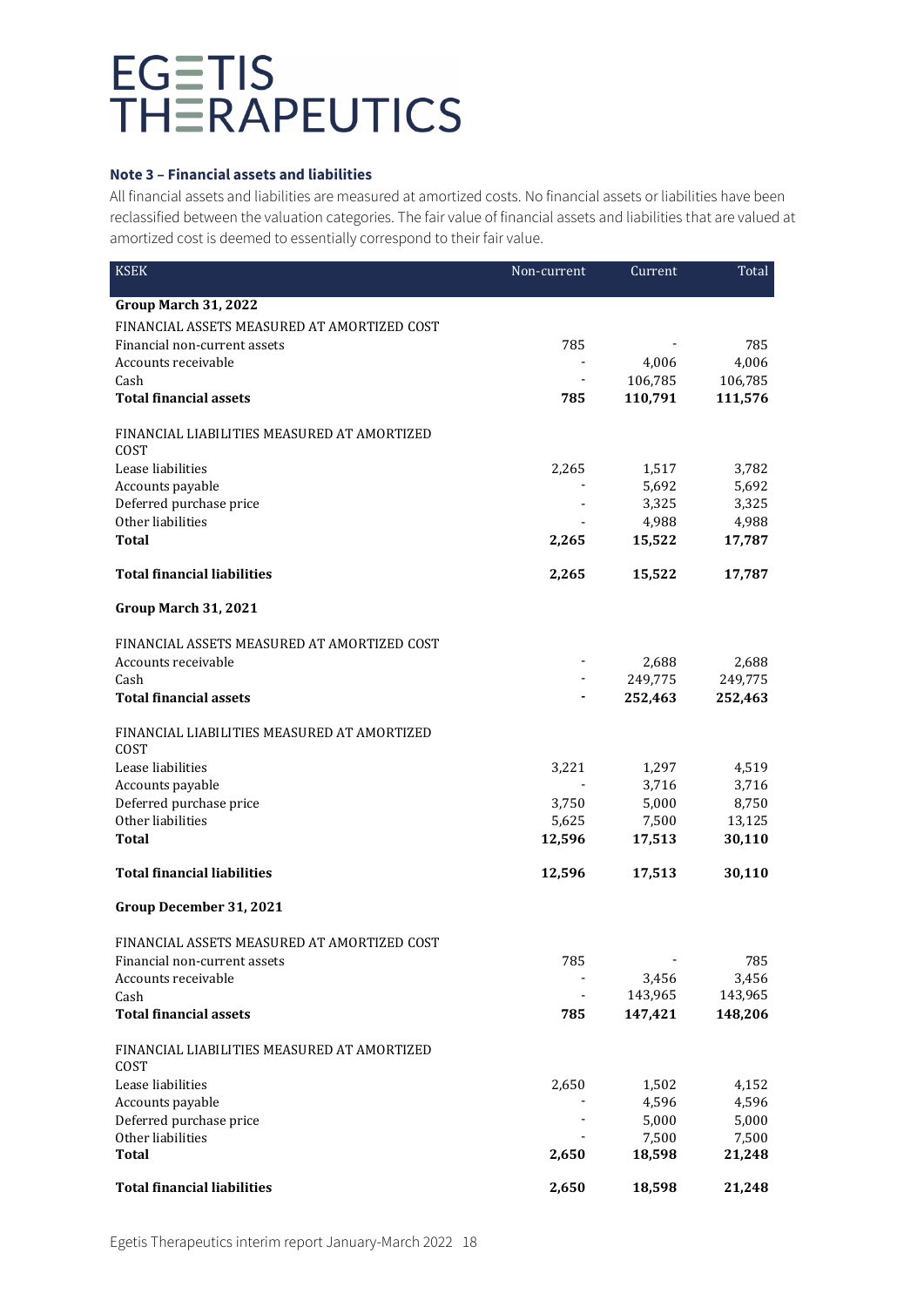### **Note 3 – Financial assets and liabilities**

All financial assets and liabilities are measured at amortized costs. No financial assets or liabilities have been reclassified between the valuation categories. The fair value of financial assets and liabilities that are valued at amortized cost is deemed to essentially correspond to their fair value.

| <b>KSEK</b>                                         | Non-current              | Current | Total   |
|-----------------------------------------------------|--------------------------|---------|---------|
| Group March 31, 2022                                |                          |         |         |
| FINANCIAL ASSETS MEASURED AT AMORTIZED COST         |                          |         |         |
| Financial non-current assets                        | 785                      |         | 785     |
| Accounts receivable                                 | $\blacksquare$           | 4,006   | 4,006   |
| Cash                                                | $\blacksquare$           | 106,785 | 106,785 |
| <b>Total financial assets</b>                       | 785                      | 110,791 | 111,576 |
| FINANCIAL LIABILITIES MEASURED AT AMORTIZED<br>COST |                          |         |         |
| Lease liabilities                                   | 2,265                    | 1,517   | 3,782   |
| Accounts payable                                    |                          | 5,692   | 5,692   |
| Deferred purchase price                             |                          | 3,325   | 3,325   |
| Other liabilities                                   |                          | 4,988   | 4,988   |
| Total                                               | 2,265                    | 15,522  | 17,787  |
| <b>Total financial liabilities</b>                  | 2,265                    | 15,522  | 17,787  |
| Group March 31, 2021                                |                          |         |         |
| FINANCIAL ASSETS MEASURED AT AMORTIZED COST         |                          |         |         |
| Accounts receivable                                 |                          | 2,688   | 2,688   |
| Cash                                                |                          | 249,775 | 249,775 |
| <b>Total financial assets</b>                       | ٠                        | 252,463 | 252,463 |
| FINANCIAL LIABILITIES MEASURED AT AMORTIZED         |                          |         |         |
| COST<br>Lease liabilities                           | 3,221                    | 1,297   | 4,519   |
| Accounts payable                                    |                          | 3,716   | 3,716   |
| Deferred purchase price                             | 3,750                    | 5,000   | 8,750   |
| Other liabilities                                   | 5,625                    | 7,500   | 13,125  |
| Total                                               | 12,596                   | 17,513  | 30,110  |
| <b>Total financial liabilities</b>                  | 12,596                   | 17,513  | 30,110  |
| Group December 31, 2021                             |                          |         |         |
| FINANCIAL ASSETS MEASURED AT AMORTIZED COST         |                          |         |         |
| Financial non-current assets                        | 785                      |         | 785     |
| Accounts receivable                                 |                          | 3,456   | 3,456   |
| Cash                                                | $\overline{\phantom{a}}$ | 143,965 | 143,965 |
| <b>Total financial assets</b>                       | 785                      | 147,421 | 148,206 |
| FINANCIAL LIABILITIES MEASURED AT AMORTIZED<br>COST |                          |         |         |
| Lease liabilities                                   | 2,650                    | 1,502   | 4,152   |
| Accounts payable                                    |                          | 4,596   | 4,596   |
| Deferred purchase price                             |                          | 5,000   | 5,000   |
| Other liabilities                                   |                          | 7,500   | 7,500   |
| <b>Total</b>                                        | 2,650                    | 18,598  | 21,248  |
| <b>Total financial liabilities</b>                  | 2,650                    | 18,598  | 21,248  |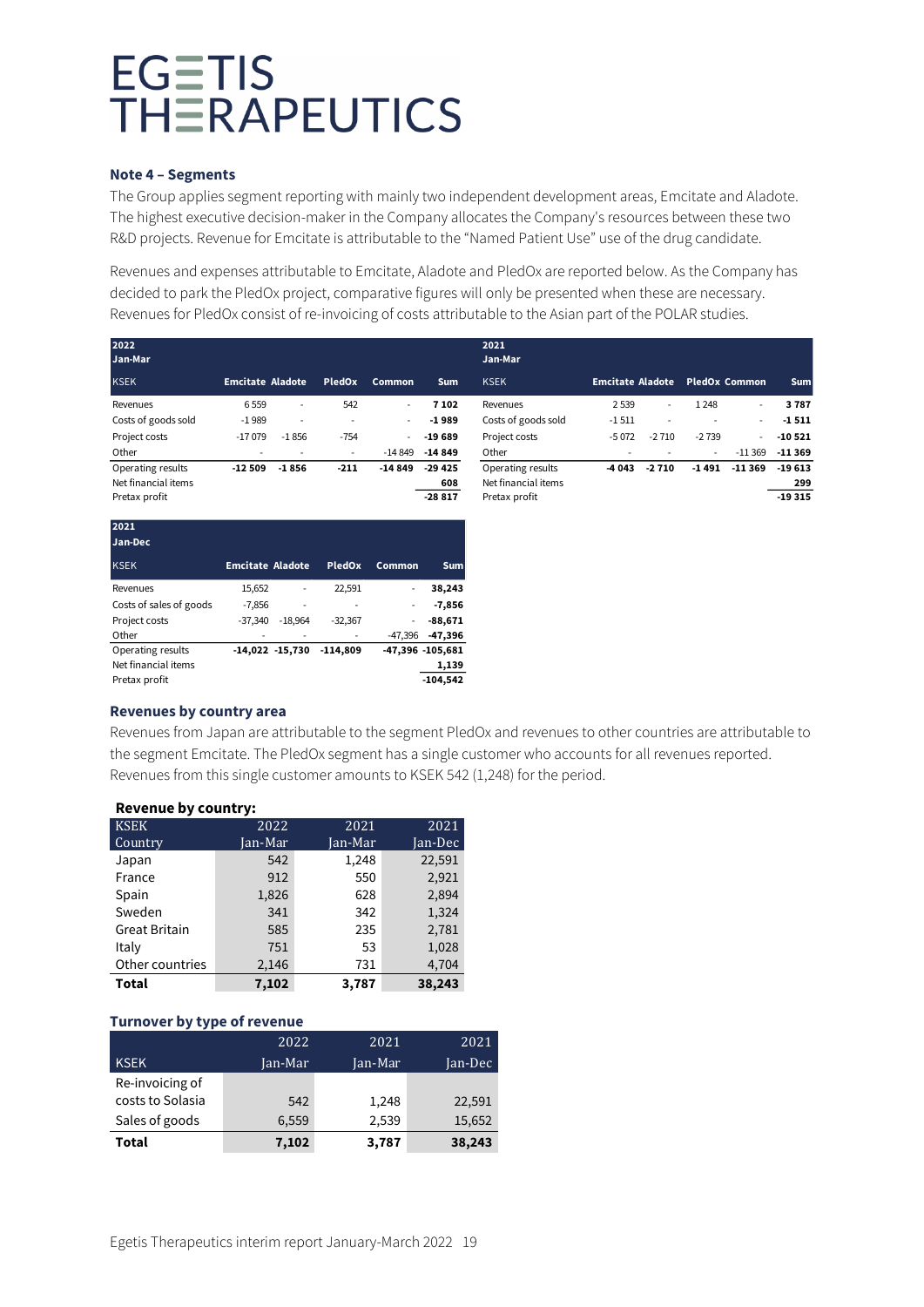#### **Note 4 – Segments**

The Group applies segment reporting with mainly two independent development areas, Emcitate and Aladote. The highest executive decision-maker in the Company allocates the Company's resources between these two R&D projects. Revenue for Emcitate is attributable to the "Named Patient Use" use of the drug candidate.

Revenues and expenses attributable to Emcitate, Aladote and PledOx are reported below. As the Company has decided to park the PledOx project, comparative figures will only be presented when these are necessary. Revenues for PledOx consist of re-invoicing of costs attributable to the Asian part of the POLAR studies.

| 2022<br>Jan-Mar     |                         |                          |        |                          |            | 2021<br>Jan-Mar     |                         |                          |                          |                          |          |
|---------------------|-------------------------|--------------------------|--------|--------------------------|------------|---------------------|-------------------------|--------------------------|--------------------------|--------------------------|----------|
| <b>KSEK</b>         | <b>Emcitate Aladote</b> |                          | PledOx | Common                   | <b>Sum</b> | <b>KSEK</b>         | <b>Emcitate Aladote</b> |                          |                          | <b>PledOx Common</b>     | Sum      |
| Revenues            | 6559                    | $\overline{\phantom{a}}$ | 542    | $\overline{\phantom{a}}$ | 7 102      | Revenues            | 2 5 3 9                 | $\overline{\phantom{a}}$ | 1 2 4 8                  | $\overline{\phantom{a}}$ | 3787     |
| Costs of goods sold | $-1989$                 | $\overline{\phantom{a}}$ |        | $\overline{\phantom{a}}$ | $-1989$    | Costs of goods sold | $-1511$                 | $\overline{\phantom{a}}$ | $\overline{\phantom{a}}$ | $\overline{\phantom{a}}$ | $-1511$  |
| Project costs       | $-17079$                | $-1856$                  | $-754$ | $\overline{\phantom{a}}$ | $-19689$   | Project costs       | $-5072$                 | $-2710$                  | $-2739$                  | ٠                        | $-10521$ |
| Other               |                         |                          | ۰      | $-14.849$                | $-14849$   | Other               |                         |                          | $\overline{\phantom{a}}$ | $-11369$                 | $-11369$ |
| Operating results   | $-12509$                | $-1856$                  | $-211$ | $-14849$                 | $-29425$   | Operating results   | -4 043                  | $-2710$                  | $-1491$                  | $-11.369$                | $-19613$ |
| Net financial items |                         |                          |        |                          | 608        | Net financial items |                         |                          |                          |                          | 299      |
| Pretax profit       |                         |                          |        |                          | $-28817$   | Pretax profit       |                         |                          |                          |                          | $-19315$ |

| 2021<br>Jan-Dec         |                         |                     |            |           |                  |
|-------------------------|-------------------------|---------------------|------------|-----------|------------------|
| <b>KSEK</b>             | <b>Emcitate Aladote</b> |                     | PledOx     | Common    | <b>Sum</b>       |
| Revenues                | 15,652                  |                     | 22,591     | -         | 38,243           |
| Costs of sales of goods | $-7,856$                |                     |            |           | $-7,856$         |
| Project costs           | $-37.340$               | $-18.964$           | $-32,367$  | ٠         | $-88,671$        |
| Other                   |                         |                     |            | $-47.396$ | $-47,396$        |
| Operating results       |                         | $-14,022$ $-15,730$ | $-114.809$ |           | -47,396 -105,681 |
| Net financial items     |                         |                     |            |           | 1,139            |
| Pretax profit           |                         |                     |            |           | $-104,542$       |

#### **Revenues by country area**

Revenues from Japan are attributable to the segment PledOx and revenues to other countries are attributable to the segment Emcitate. The PledOx segment has a single customer who accounts for all revenues reported. Revenues from this single customer amounts to KSEK 542 (1,248) for the period.

| Revenue by Country:  |         |         |         |  |  |  |  |
|----------------------|---------|---------|---------|--|--|--|--|
| <b>KSEK</b>          | 2022    | 2021    | 2021    |  |  |  |  |
| Country              | Jan-Mar | Jan-Mar | Jan-Dec |  |  |  |  |
| Japan                | 542     | 1,248   | 22,591  |  |  |  |  |
| France               | 912     | 550     | 2,921   |  |  |  |  |
| Spain                | 1,826   | 628     | 2,894   |  |  |  |  |
| Sweden               | 341     | 342     | 1,324   |  |  |  |  |
| <b>Great Britain</b> | 585     | 235     | 2,781   |  |  |  |  |
| Italy                | 751     | 53      | 1,028   |  |  |  |  |
| Other countries      | 2,146   | 731     | 4,704   |  |  |  |  |
| Total                | 7,102   | 3,787   | 38,243  |  |  |  |  |

### **Revenue by country:**

### **Turnover by type of revenue**

|                  | 2022    | 2021    | 2021    |
|------------------|---------|---------|---------|
| <b>KSEK</b>      | Jan-Mar | Jan-Mar | Jan-Dec |
| Re-invoicing of  |         |         |         |
| costs to Solasia | 542     | 1,248   | 22,591  |
| Sales of goods   | 6,559   | 2,539   | 15,652  |
| Total            | 7,102   | 3,787   | 38,243  |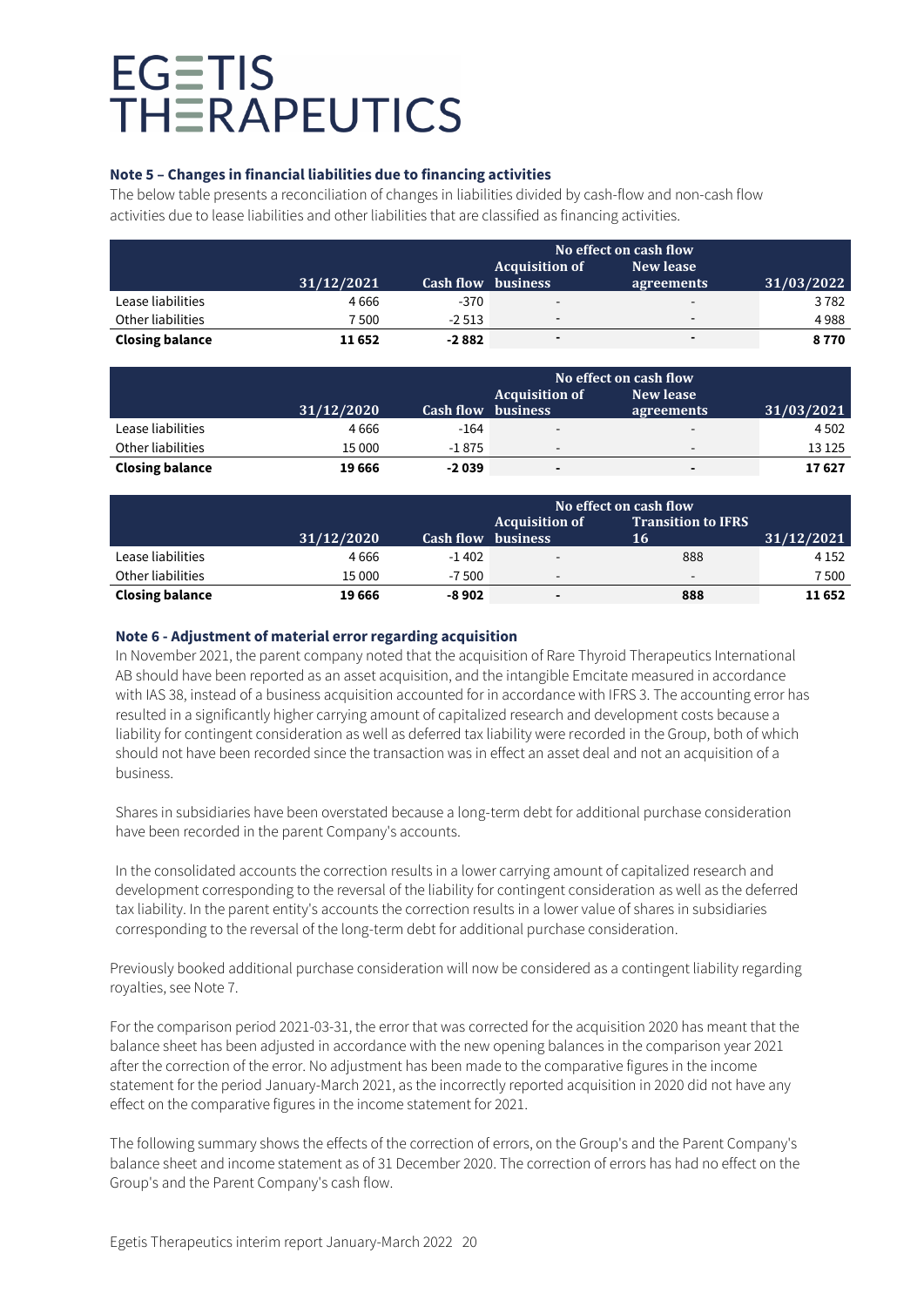### **Note 5 – Changes in financial liabilities due to financing activities**

The below table presents a reconciliation of changes in liabilities divided by cash-flow and non-cash flow activities due to lease liabilities and other liabilities that are classified as financing activities.

|                        |            | No effect on cash flow |                          |                          |            |
|------------------------|------------|------------------------|--------------------------|--------------------------|------------|
|                        |            |                        | <b>Acquisition of</b>    | New lease                |            |
|                        | 31/12/2021 | <b>Cash flow</b>       | <b>business</b>          | agreements               | 31/03/2022 |
| Lease liabilities      | 4666       | $-370$                 | $\overline{\phantom{a}}$ | $\overline{\phantom{a}}$ | 3782       |
| Other liabilities      | 500        | $-2513$                | $\overline{\phantom{0}}$ | $\overline{\phantom{0}}$ | 4988       |
| <b>Closing balance</b> | 11652      | $-2882$                | $\blacksquare$           | $\blacksquare$           | 8770       |

|                        |            |                  | No effect on cash flow   |                          |            |
|------------------------|------------|------------------|--------------------------|--------------------------|------------|
|                        |            |                  | <b>Acquisition of</b>    | New lease                |            |
|                        | 31/12/2020 | <b>Cash flow</b> | <b>business</b>          | agreements               | 31/03/2021 |
| Lease liabilities      | 4666       | $-164$           | $\overline{\phantom{a}}$ | $\overline{\phantom{a}}$ | 4502       |
| Other liabilities      | 15 000     | $-1875$          | $\overline{\phantom{a}}$ | $\overline{\phantom{a}}$ | 13 1 25    |
| <b>Closing balance</b> | 19666      | $-2039$          |                          |                          | 17627      |

|                        |            | No effect on cash flow<br><b>Transition to IFRS</b><br><b>Acquisition of</b> |                          |     |            |
|------------------------|------------|------------------------------------------------------------------------------|--------------------------|-----|------------|
|                        | 31/12/2020 | <b>Cash flow</b>                                                             | <b>business</b>          | 16  | 31/12/2021 |
| Lease liabilities      | 4666       | $-1402$                                                                      | $\overline{\phantom{a}}$ | 888 | 4 1 5 2    |
| Other liabilities      | 15 000     | $-7,500$                                                                     | $\overline{\phantom{a}}$ | -   | 7500       |
| <b>Closing balance</b> | 19 666     | -8 902                                                                       | ۰                        | 888 | 11652      |

### **Note 6 - Adjustment of material error regarding acquisition**

In November 2021, the parent company noted that the acquisition of Rare Thyroid Therapeutics International AB should have been reported as an asset acquisition, and the intangible Emcitate measured in accordance with IAS 38, instead of a business acquisition accounted for in accordance with IFRS 3. The accounting error has resulted in a significantly higher carrying amount of capitalized research and development costs because a liability for contingent consideration as well as deferred tax liability were recorded in the Group, both of which should not have been recorded since the transaction was in effect an asset deal and not an acquisition of a business.

Shares in subsidiaries have been overstated because a long-term debt for additional purchase consideration have been recorded in the parent Company's accounts.

In the consolidated accounts the correction results in a lower carrying amount of capitalized research and development corresponding to the reversal of the liability for contingent consideration as well as the deferred tax liability. In the parent entity's accounts the correction results in a lower value of shares in subsidiaries corresponding to the reversal of the long-term debt for additional purchase consideration.

Previously booked additional purchase consideration will now be considered as a contingent liability regarding royalties, see Note 7.

For the comparison period 2021-03-31, the error that was corrected for the acquisition 2020 has meant that the balance sheet has been adjusted in accordance with the new opening balances in the comparison year 2021 after the correction of the error. No adjustment has been made to the comparative figures in the income statement for the period January-March 2021, as the incorrectly reported acquisition in 2020 did not have any effect on the comparative figures in the income statement for 2021.

The following summary shows the effects of the correction of errors, on the Group's and the Parent Company's balance sheet and income statement as of 31 December 2020. The correction of errors has had no effect on the Group's and the Parent Company's cash flow.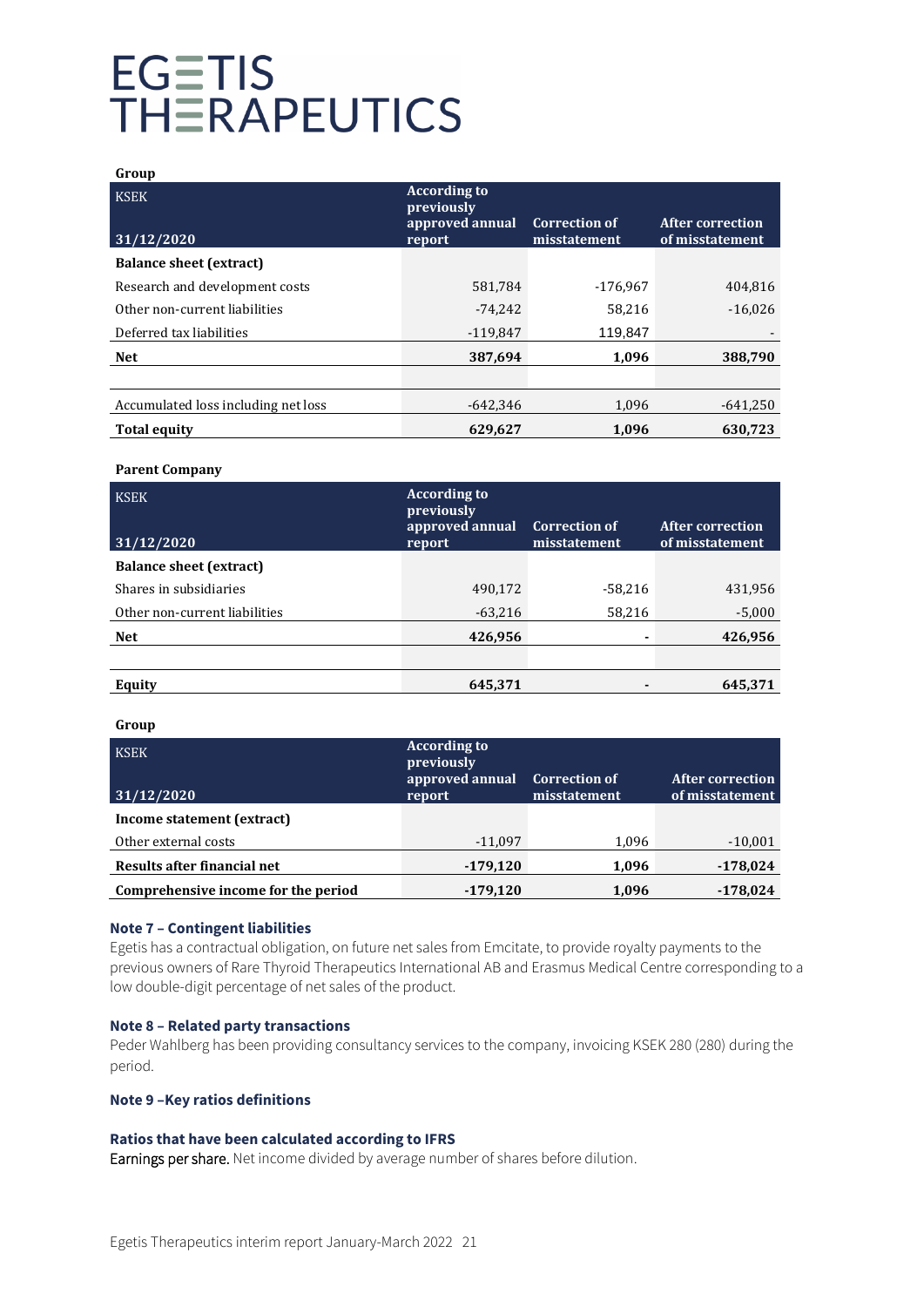| Group                               |                                                                |                                      |                                            |
|-------------------------------------|----------------------------------------------------------------|--------------------------------------|--------------------------------------------|
| <b>KSEK</b><br>31/12/2020           | <b>According to</b><br>previously<br>approved annual<br>report | <b>Correction of</b><br>misstatement | <b>After correction</b><br>of misstatement |
| <b>Balance sheet (extract)</b>      |                                                                |                                      |                                            |
|                                     |                                                                |                                      |                                            |
| Research and development costs      | 581,784                                                        | $-176.967$                           | 404,816                                    |
| Other non-current liabilities       | $-74,242$                                                      | 58,216                               | $-16,026$                                  |
| Deferred tax liabilities            | $-119.847$                                                     | 119,847                              |                                            |
| <b>Net</b>                          | 387,694                                                        | 1,096                                | 388,790                                    |
|                                     |                                                                |                                      |                                            |
| Accumulated loss including net loss | $-642.346$                                                     | 1,096                                | $-641,250$                                 |
| <b>Total equity</b>                 | 629.627                                                        | 1.096                                | 630.723                                    |

#### **Parent Company**

| <b>KSEK</b><br>31/12/2020      | <b>According to</b><br>previously<br>approved annual<br>report | <b>Correction of</b><br>misstatement | <b>After correction</b><br>of misstatement |
|--------------------------------|----------------------------------------------------------------|--------------------------------------|--------------------------------------------|
| <b>Balance sheet (extract)</b> |                                                                |                                      |                                            |
| Shares in subsidiaries         | 490,172                                                        | $-58,216$                            | 431,956                                    |
| Other non-current liabilities  | $-63,216$                                                      | 58,216                               | $-5,000$                                   |
| <b>Net</b>                     | 426,956                                                        |                                      | 426,956                                    |
|                                |                                                                |                                      |                                            |
| Equity                         | 645,371                                                        |                                      | 645,371                                    |

#### **Group**

| <b>KSEK</b><br>31/12/2020           | <b>According to</b><br>previously<br>approved annual<br>report | <b>Correction of</b><br>misstatement | <b>After correction</b><br>of misstatement |
|-------------------------------------|----------------------------------------------------------------|--------------------------------------|--------------------------------------------|
| Income statement (extract)          |                                                                |                                      |                                            |
| Other external costs                | $-11,097$                                                      | 1,096                                | $-10,001$                                  |
| Results after financial net         | $-179,120$                                                     | 1,096                                | $-178,024$                                 |
| Comprehensive income for the period | $-179.120$                                                     | 1.096                                | $-178.024$                                 |

#### **Note 7 – Contingent liabilities**

Egetis has a contractual obligation, on future net sales from Emcitate, to provide royalty payments to the previous owners of Rare Thyroid Therapeutics International AB and Erasmus Medical Centre corresponding to a low double-digit percentage of net sales of the product.

#### **Note 8 – Related party transactions**

Peder Wahlberg has been providing consultancy services to the company, invoicing KSEK 280 (280) during the period.

### **Note 9 –Key ratios definitions**

#### **Ratios that have been calculated according to IFRS**

Earnings per share. Net income divided by average number of shares before dilution.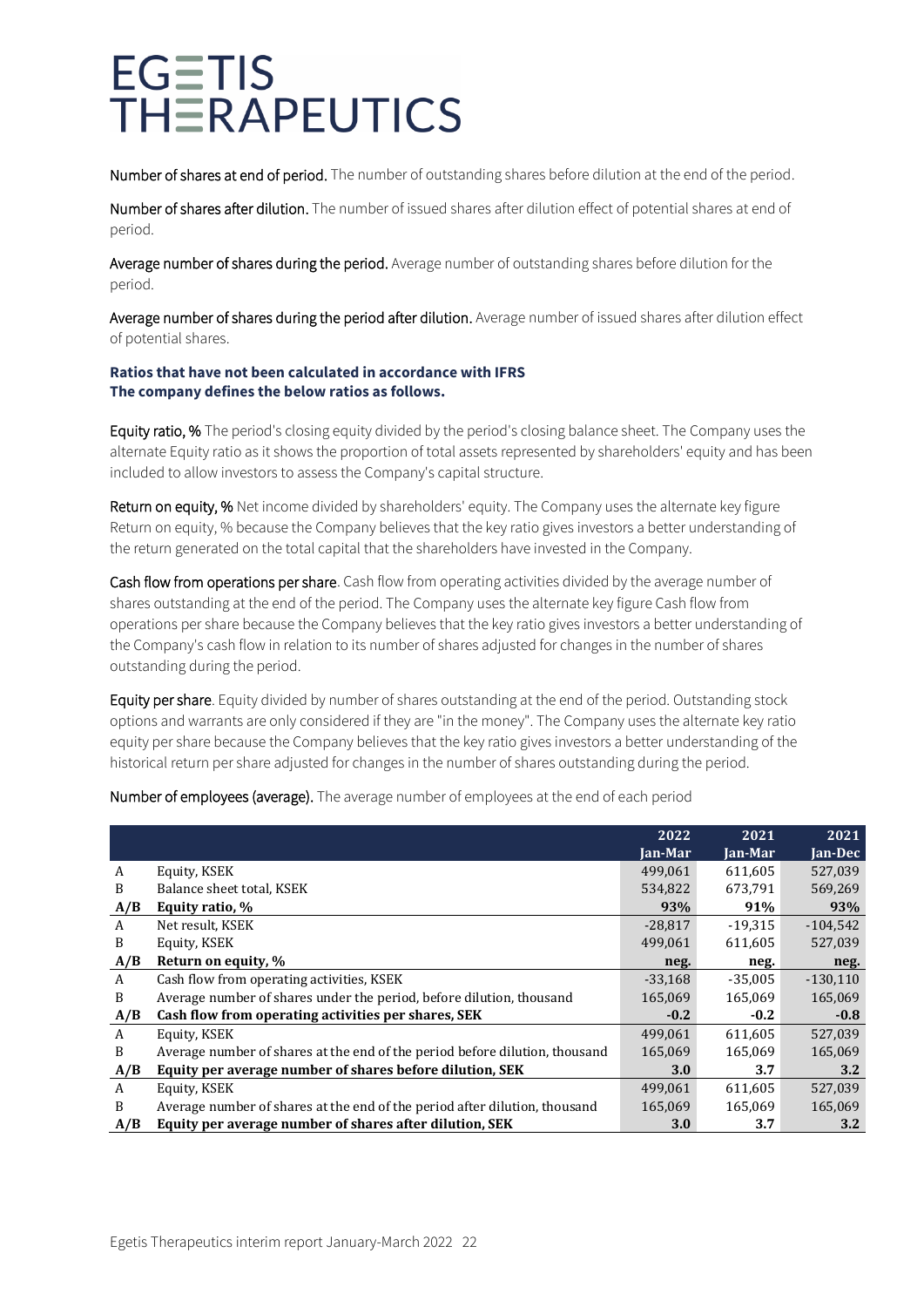Number of shares at end of period. The number of outstanding shares before dilution at the end of the period.

Number of shares after dilution. The number of issued shares after dilution effect of potential shares at end of period.

Average number of shares during the period. Average number of outstanding shares before dilution for the period.

Average number of shares during the period after dilution. Average number of issued shares after dilution effect of potential shares.

### **Ratios that have not been calculated in accordance with IFRS The company defines the below ratios as follows.**

Equity ratio, % The period's closing equity divided by the period's closing balance sheet. The Company uses the alternate Equity ratio as it shows the proportion of total assets represented by shareholders' equity and has been included to allow investors to assess the Company's capital structure.

Return on equity, % Net income divided by shareholders' equity. The Company uses the alternate key figure Return on equity, % because the Company believes that the key ratio gives investors a better understanding of the return generated on the total capital that the shareholders have invested in the Company.

Cash flow from operations per share. Cash flow from operating activities divided by the average number of shares outstanding at the end of the period. The Company uses the alternate key figure Cash flow from operations per share because the Company believes that the key ratio gives investors a better understanding of the Company's cash flow in relation to its number of shares adjusted for changes in the number of shares outstanding during the period.

Equity per share. Equity divided by number of shares outstanding at the end of the period. Outstanding stock options and warrants are only considered if they are "in the money". The Company uses the alternate key ratio equity per share because the Company believes that the key ratio gives investors a better understanding of the historical return per share adjusted for changes in the number of shares outstanding during the period.

Number of employees (average). The average number of employees at the end of each period

|     |                                                                             | 2022      | 2021      | 2021       |
|-----|-----------------------------------------------------------------------------|-----------|-----------|------------|
|     |                                                                             | Jan-Mar   | Jan-Mar   | Jan-Dec    |
| A   | Equity, KSEK                                                                | 499,061   | 611,605   | 527,039    |
| B   | Balance sheet total, KSEK                                                   | 534,822   | 673.791   | 569,269    |
| A/B | Equity ratio, %                                                             | 93%       | 91%       | 93%        |
| A   | Net result, KSEK                                                            | $-28,817$ | $-19,315$ | $-104,542$ |
| B   | Equity, KSEK                                                                | 499.061   | 611,605   | 527,039    |
| A/B | Return on equity, %                                                         | neg.      | neg.      | neg.       |
| A   | Cash flow from operating activities, KSEK                                   | $-33,168$ | $-35,005$ | $-130,110$ |
| B   | Average number of shares under the period, before dilution, thousand        | 165,069   | 165,069   | 165,069    |
| A/B | Cash flow from operating activities per shares, SEK                         | $-0.2$    | $-0.2$    | $-0.8$     |
| A   | Equity, KSEK                                                                | 499,061   | 611,605   | 527,039    |
| B   | Average number of shares at the end of the period before dilution, thousand | 165,069   | 165,069   | 165,069    |
| A/B | Equity per average number of shares before dilution, SEK                    | 3.0       | 3.7       | 3.2        |
| A   | Equity, KSEK                                                                | 499,061   | 611,605   | 527,039    |
| B   | Average number of shares at the end of the period after dilution, thousand  | 165,069   | 165,069   | 165,069    |
| A/B | Equity per average number of shares after dilution, SEK                     | 3.0       | 3.7       | 3.2        |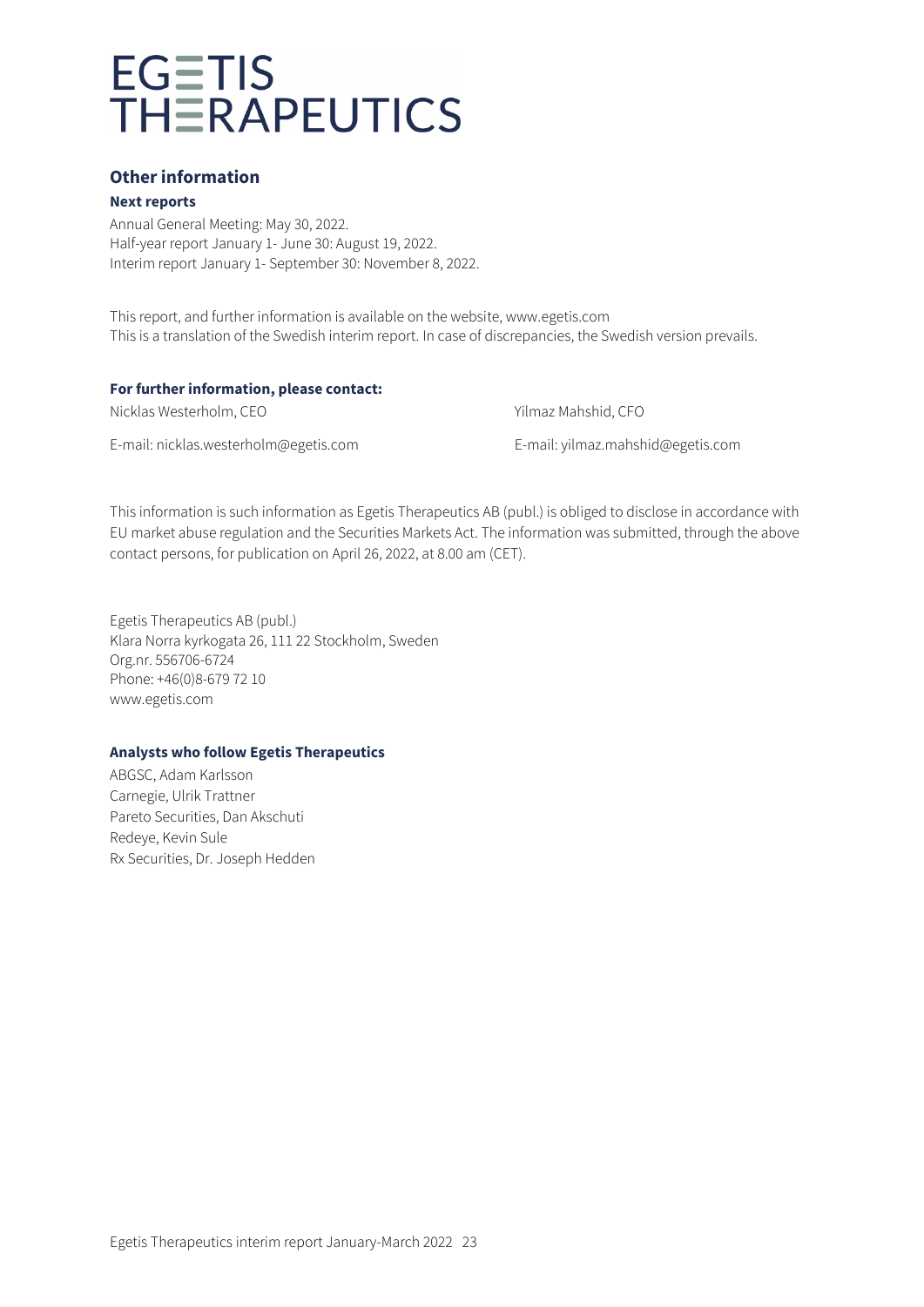## **Other information**

#### **Next reports**

Annual General Meeting: May 30, 2022. Half-year report January 1- June 30: August 19, 2022. Interim report January 1- September 30: November 8, 2022.

This report, and further information is available on the website, www.egetis.com This is a translation of the Swedish interim report. In case of discrepancies, the Swedish version prevails.

#### **For further information, please contact:**

Nicklas Westerholm, CEO Yilmaz Mahshid, CFO

E-mail: [nicklas.westerholm@egetis.com](mailto:nicklas.westerholm@egetis.com) E-mail[: yilmaz.mahshid@egetis.com](mailto:yilmaz.mahshid@egetis.com)

This information is such information as Egetis Therapeutics AB (publ.) is obliged to disclose in accordance with EU market abuse regulation and the Securities Markets Act. The information was submitted, through the above contact persons, for publication on April 26, 2022, at 8.00 am (CET).

Egetis Therapeutics AB (publ.) Klara Norra kyrkogata 26, 111 22 Stockholm, Sweden Org.nr. 556706-6724 Phone: +46(0)8-679 72 10 www.egetis.com

### **Analysts who follow Egetis Therapeutics**

ABGSC, Adam Karlsson Carnegie, Ulrik Trattner Pareto Securities, Dan Akschuti Redeye, Kevin Sule Rx Securities, Dr. Joseph Hedden